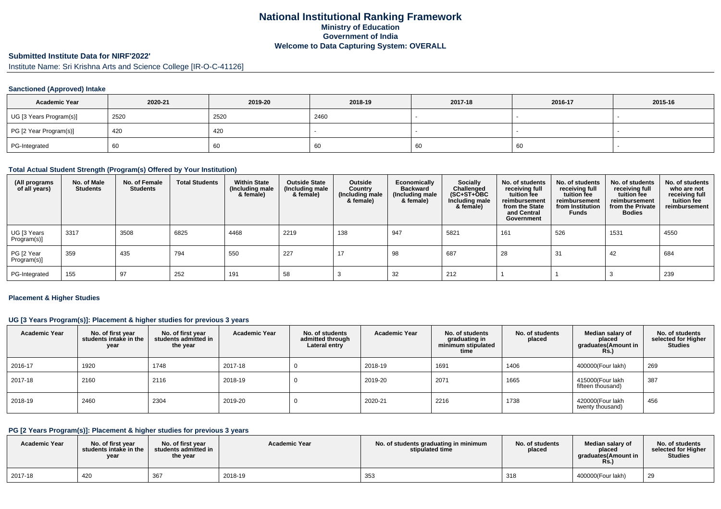### **National Institutional Ranking FrameworkMinistry of Education Government of IndiaWelcome to Data Capturing System: OVERALL**

# **Submitted Institute Data for NIRF'2022'**

Institute Name: Sri Krishna Arts and Science College [IR-O-C-41126]

#### **Sanctioned (Approved) Intake**

| <b>Academic Year</b>    | 2020-21 | 2019-20 | 2018-19 | 2017-18 | 2016-17 | 2015-16 |
|-------------------------|---------|---------|---------|---------|---------|---------|
| UG [3 Years Program(s)] | 2520    | 2520    | 2460    |         |         |         |
| PG [2 Year Program(s)]  | 420     | 420     |         |         |         |         |
| PG-Integrated           | 60      | 60      | -60     | '66     | 60      |         |

#### **Total Actual Student Strength (Program(s) Offered by Your Institution)**

| (All programs<br>of all years) | No. of Male<br><b>Students</b> | No. of Female<br><b>Students</b> | <b>Total Students</b> | <b>Within State</b><br>(Including male<br>& female) | <b>Outside State</b><br>(Including male<br>& female) | Outside<br>Country<br>(Including male)<br>& female) | <b>Economically</b><br><b>Backward</b><br>(Including male<br>& female) | <b>Socially</b><br>Challenged<br>$(SC+ST+\text{O}BC)$<br>Including male<br>& female) | No. of students<br>receiving full<br>tuition fee<br>reimbursement<br>from the State<br>and Central<br>Government | No. of students<br>receiving full<br>tuition fee<br>reimbursement<br>from Institution<br><b>Funds</b> | No. of students<br>receiving full<br>tuition fee<br>reimbursement<br>from the Private<br><b>Bodies</b> | No. of students<br>who are not<br>receiving full<br>tuition fee<br>reimbursement |
|--------------------------------|--------------------------------|----------------------------------|-----------------------|-----------------------------------------------------|------------------------------------------------------|-----------------------------------------------------|------------------------------------------------------------------------|--------------------------------------------------------------------------------------|------------------------------------------------------------------------------------------------------------------|-------------------------------------------------------------------------------------------------------|--------------------------------------------------------------------------------------------------------|----------------------------------------------------------------------------------|
| UG [3 Years<br>Program(s)]     | 3317                           | 3508                             | 6825                  | 4468                                                | 2219                                                 | 138                                                 | 947                                                                    | 5821                                                                                 | 161                                                                                                              | 526                                                                                                   | 1531                                                                                                   | 4550                                                                             |
| PG [2 Year<br>Program(s)]      | 359                            | 435                              | 794                   | 550                                                 | 227                                                  | 17                                                  | 98                                                                     | 687                                                                                  | 28                                                                                                               | 31                                                                                                    | 42                                                                                                     | 684                                                                              |
| PG-Integrated                  | 155                            | 97                               | 252                   | 191                                                 | 58                                                   |                                                     | 32                                                                     | 212                                                                                  |                                                                                                                  |                                                                                                       |                                                                                                        | 239                                                                              |

#### **Placement & Higher Studies**

#### **UG [3 Years Program(s)]: Placement & higher studies for previous 3 years**

| <b>Academic Year</b> | No. of first year<br>students intake in the<br>year | No. of first year<br>students admitted in<br>the year | <b>Academic Year</b> | No. of students<br>admitted through<br>Lateral entry | <b>Academic Year</b> | No. of students<br>graduating in<br>minimum stipulated<br>time | No. of students<br>placed | Median salary of<br>placed<br>graduates(Amount in<br>Rs.) | No. of students<br>selected for Higher<br><b>Studies</b> |
|----------------------|-----------------------------------------------------|-------------------------------------------------------|----------------------|------------------------------------------------------|----------------------|----------------------------------------------------------------|---------------------------|-----------------------------------------------------------|----------------------------------------------------------|
| 2016-17              | 1920                                                | 1748                                                  | 2017-18              |                                                      | 2018-19              | 1691                                                           | 1406                      | 400000(Four lakh)                                         | 269                                                      |
| 2017-18              | 2160                                                | 2116                                                  | 2018-19              |                                                      | 2019-20              | 2071                                                           | 1665                      | 415000(Four lakh<br>fifteen thousand)                     | 387                                                      |
| 2018-19              | 2460                                                | 2304                                                  | 2019-20              |                                                      | 2020-21              | 2216                                                           | 1738                      | 420000(Four lakh<br>twenty thousand)                      | 456                                                      |

#### **PG [2 Years Program(s)]: Placement & higher studies for previous 3 years**

| <b>Academic Year</b> | No. of first year<br>students intake in the<br>year | No. of first year<br>students admitted in<br>the year | <b>Academic Year</b> | No. of students graduating in minimum<br>stipulated time | No. of students<br>placed | Median salary of<br>placed<br>araduates(Amount in<br><b>Rs.</b> ) | No. of students<br>selected for Higher<br><b>Studies</b> |
|----------------------|-----------------------------------------------------|-------------------------------------------------------|----------------------|----------------------------------------------------------|---------------------------|-------------------------------------------------------------------|----------------------------------------------------------|
| 2017-18              | 420                                                 | 367                                                   | 2018-19              | 353                                                      | 318                       | 400000(Four lakh)                                                 | 29                                                       |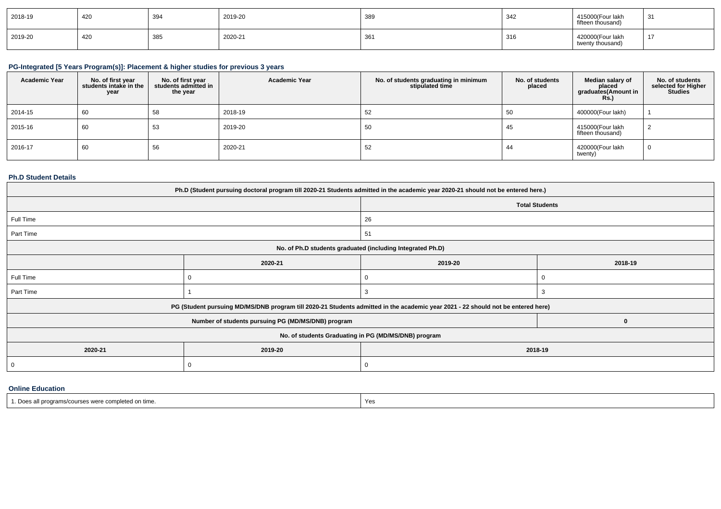| 2018-19 | 420 | 394 | 2019-20 | 389 | 342 | 415000(Four lakh<br>fifteen thousand) | 31      |
|---------|-----|-----|---------|-----|-----|---------------------------------------|---------|
| 2019-20 | 420 | 385 | 2020-21 | 361 | 316 | 420000(Four lakh<br>twenty thousand)  | 47<br>. |

# **PG-Integrated [5 Years Program(s)]: Placement & higher studies for previous 3 years**

| <b>Academic Year</b> | No. of first year<br>students intake in the<br>year | No. of first year<br>students admitted in<br>the year | <b>Academic Year</b> | No. of students graduating in minimum<br>stipulated time | No. of students<br>placed | Median salary of<br>placed<br>graduates(Amount in<br><b>Rs.)</b> | No. of students<br>selected for Higher<br><b>Studies</b> |
|----------------------|-----------------------------------------------------|-------------------------------------------------------|----------------------|----------------------------------------------------------|---------------------------|------------------------------------------------------------------|----------------------------------------------------------|
| 2014-15              | 60                                                  | 58                                                    | 2018-19              | 52                                                       | 50                        | 400000(Four lakh)                                                |                                                          |
| 2015-16              | 60                                                  | 53                                                    | 2019-20              | 50                                                       | 45                        | 415000(Four lakh<br>fifteen thousand)                            |                                                          |
| 2016-17              | 60                                                  | 56                                                    | 2020-21              | 52                                                       | -44                       | 420000(Four lakh<br>twenty)                                      |                                                          |

#### **Ph.D Student Details**

| Ph.D (Student pursuing doctoral program till 2020-21 Students admitted in the academic year 2020-21 should not be entered here.) |                                                                                                                                  |                       |         |  |  |  |  |
|----------------------------------------------------------------------------------------------------------------------------------|----------------------------------------------------------------------------------------------------------------------------------|-----------------------|---------|--|--|--|--|
|                                                                                                                                  |                                                                                                                                  | <b>Total Students</b> |         |  |  |  |  |
| Full Time                                                                                                                        |                                                                                                                                  | 26                    |         |  |  |  |  |
| Part Time                                                                                                                        |                                                                                                                                  | 51                    |         |  |  |  |  |
| No. of Ph.D students graduated (including Integrated Ph.D)                                                                       |                                                                                                                                  |                       |         |  |  |  |  |
|                                                                                                                                  | 2020-21                                                                                                                          | 2019-20               | 2018-19 |  |  |  |  |
| Full Time                                                                                                                        |                                                                                                                                  |                       |         |  |  |  |  |
| Part Time                                                                                                                        |                                                                                                                                  | 3                     | 3       |  |  |  |  |
|                                                                                                                                  | PG (Student pursuing MD/MS/DNB program till 2020-21 Students admitted in the academic year 2021 - 22 should not be entered here) |                       |         |  |  |  |  |
|                                                                                                                                  | Number of students pursuing PG (MD/MS/DNB) program                                                                               |                       | 0       |  |  |  |  |
|                                                                                                                                  | No. of students Graduating in PG (MD/MS/DNB) program                                                                             |                       |         |  |  |  |  |
| 2020-21                                                                                                                          | 2019-20<br>2018-19                                                                                                               |                       |         |  |  |  |  |
| 0                                                                                                                                |                                                                                                                                  |                       |         |  |  |  |  |
|                                                                                                                                  |                                                                                                                                  |                       |         |  |  |  |  |

#### **Online Education**

| s were completed on time.<br><u>orams/courses</u> | Yes |
|---------------------------------------------------|-----|
|---------------------------------------------------|-----|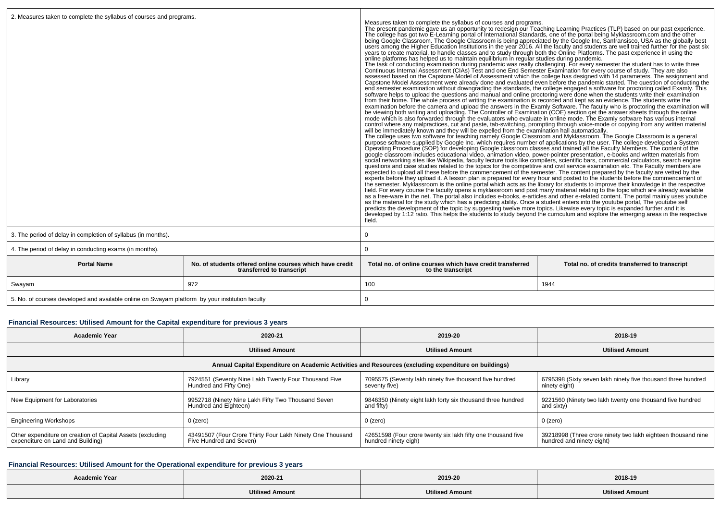| Measures taken to complete the syllabus of courses and programs.<br>The present pandemic gave us an opportunity to redesign our Teaching Learning Practices (TLP) based on our past experience.<br>The college has got two E-Learning portal of International Standards, one of the portal being Mykl<br>users among the Higher Education Institutions in the year 2016. All the faculty and students are well trained further for the past six<br>years to create material, to handle classes and to study through both the Online Platforms. The past experience in using the<br>online platforms has helped us to maintain equilibrium in regular studies during pandemic.<br>The task of conducting examination during pandemic was really challenging. For every semester the student has to write three<br>Continuous Internal Assessment (CIAs) Test and one End Semester Examination for every course of study. They are also<br>assessed based on the Capstone Model of Assessment which the college has designed with 14 parameters. The assignment and<br>Capstone Model Assessment were already done and evaluated even before the pandemic started. The question of conducting the<br>end semester examination without downgrading the standards, the college engaged a software for proctoring called Examly. This<br>software helps to upload the questions and manual and online proctoring were done when the students write their examination<br>from their home. The whole process of writing the examination is recorded and kept as an evidence. The students write the<br>examination before the camera and upload the answers in the Examly Software. The faculty who is proctoring the examination will<br>be viewing both writing and uploading. The Controller of Examination (COE) section get the answer sheets through the online<br>mode which is also forwarded through the evaluators who evaluate in online mode. The Examly software has various internal<br>control where any malpractices, cut and paste, tab-switching, prompting through voice-mode or copying from any written material will be immediately known and they will be expelled from the examination hall automatically.<br>The college uses two software for teaching namely Google Classroom and Myklassroom. The Google Classroom is a general<br>purpose software supplied by Google Inc. which requires number of applications by the user. The college developed a System Operating Procedure (SOP) for developing Google classroom classes and trained all the Faculty Membe<br>google classroom includes educational video, animation video, power-pointer presentation, e-books and written materials from<br>social networking sites like Wikipedia, faculty lecture tools like compilers, scientific bars, commercial calculators, search engine<br>questions and case studies related to the topics for the competitive and civil service examination etc. The Faculty members are<br>expected to upload all these before the commencement of the semester. The content prepared by the faculty are vetted by the<br>experts before they upload it. A lesson plan is prepared for every hour and posted to the students before the commencement of<br>the semester. Myklassroom is the online portal which acts as the library for students to improve<br>field. For every course the faculty opens a myklassroom and post many material relating to the topic which are already available<br>as a free-ware in the net. The portal also includes e-books, e-articles and other e-related content. The portal mainly uses youtube<br>as the material for the study which has a predicting ability. Once a student enters into the youtube portal, The youtube self<br>predicts the development of the topic by suggesting twelve more topics. Likewise every topic is expanded further and it is<br>developed by 1:12 ratio. This helps the students to study beyond the curriculum and explore the emerging areas in the respective<br>field. |                                                |  |
|---------------------------------------------------------------------------------------------------------------------------------------------------------------------------------------------------------------------------------------------------------------------------------------------------------------------------------------------------------------------------------------------------------------------------------------------------------------------------------------------------------------------------------------------------------------------------------------------------------------------------------------------------------------------------------------------------------------------------------------------------------------------------------------------------------------------------------------------------------------------------------------------------------------------------------------------------------------------------------------------------------------------------------------------------------------------------------------------------------------------------------------------------------------------------------------------------------------------------------------------------------------------------------------------------------------------------------------------------------------------------------------------------------------------------------------------------------------------------------------------------------------------------------------------------------------------------------------------------------------------------------------------------------------------------------------------------------------------------------------------------------------------------------------------------------------------------------------------------------------------------------------------------------------------------------------------------------------------------------------------------------------------------------------------------------------------------------------------------------------------------------------------------------------------------------------------------------------------------------------------------------------------------------------------------------------------------------------------------------------------------------------------------------------------------------------------------------------------------------------------------------------------------------------------------------------------------------------------------------------------------------------------------------------------------------------------------------------------------------------------------------------------------------------------------------------------------------------------------------------------------------------------------------------------------------------------------------------------------------------------------------------------------------------------------------------------------------------------------------------------------------------------------------------------------------------------------------------------------------------------------------------------------------------------------------------------------------------------------------------------------------------------------------------------------------------------------------------------------------------------------------------------------------------------------------------------------------------------------------------------------------------------------------------------------------------------------------------------------------------------------------------------------------------------------------------------------------------------------------------------------------------------------------------------------------------------------------------------------------------------------------------------------------------------------------------|------------------------------------------------|--|
| 0                                                                                                                                                                                                                                                                                                                                                                                                                                                                                                                                                                                                                                                                                                                                                                                                                                                                                                                                                                                                                                                                                                                                                                                                                                                                                                                                                                                                                                                                                                                                                                                                                                                                                                                                                                                                                                                                                                                                                                                                                                                                                                                                                                                                                                                                                                                                                                                                                                                                                                                                                                                                                                                                                                                                                                                                                                                                                                                                                                                                                                                                                                                                                                                                                                                                                                                                                                                                                                                                                                                                                                                                                                                                                                                                                                                                                                                                                                                                                                                                                                                             |                                                |  |
| 0                                                                                                                                                                                                                                                                                                                                                                                                                                                                                                                                                                                                                                                                                                                                                                                                                                                                                                                                                                                                                                                                                                                                                                                                                                                                                                                                                                                                                                                                                                                                                                                                                                                                                                                                                                                                                                                                                                                                                                                                                                                                                                                                                                                                                                                                                                                                                                                                                                                                                                                                                                                                                                                                                                                                                                                                                                                                                                                                                                                                                                                                                                                                                                                                                                                                                                                                                                                                                                                                                                                                                                                                                                                                                                                                                                                                                                                                                                                                                                                                                                                             |                                                |  |
| Total no, of online courses which have credit transferred<br>to the transcript                                                                                                                                                                                                                                                                                                                                                                                                                                                                                                                                                                                                                                                                                                                                                                                                                                                                                                                                                                                                                                                                                                                                                                                                                                                                                                                                                                                                                                                                                                                                                                                                                                                                                                                                                                                                                                                                                                                                                                                                                                                                                                                                                                                                                                                                                                                                                                                                                                                                                                                                                                                                                                                                                                                                                                                                                                                                                                                                                                                                                                                                                                                                                                                                                                                                                                                                                                                                                                                                                                                                                                                                                                                                                                                                                                                                                                                                                                                                                                                | Total no. of credits transferred to transcript |  |
|                                                                                                                                                                                                                                                                                                                                                                                                                                                                                                                                                                                                                                                                                                                                                                                                                                                                                                                                                                                                                                                                                                                                                                                                                                                                                                                                                                                                                                                                                                                                                                                                                                                                                                                                                                                                                                                                                                                                                                                                                                                                                                                                                                                                                                                                                                                                                                                                                                                                                                                                                                                                                                                                                                                                                                                                                                                                                                                                                                                                                                                                                                                                                                                                                                                                                                                                                                                                                                                                                                                                                                                                                                                                                                                                                                                                                                                                                                                                                                                                                                                               |                                                |  |
| 100                                                                                                                                                                                                                                                                                                                                                                                                                                                                                                                                                                                                                                                                                                                                                                                                                                                                                                                                                                                                                                                                                                                                                                                                                                                                                                                                                                                                                                                                                                                                                                                                                                                                                                                                                                                                                                                                                                                                                                                                                                                                                                                                                                                                                                                                                                                                                                                                                                                                                                                                                                                                                                                                                                                                                                                                                                                                                                                                                                                                                                                                                                                                                                                                                                                                                                                                                                                                                                                                                                                                                                                                                                                                                                                                                                                                                                                                                                                                                                                                                                                           | 1944                                           |  |
|                                                                                                                                                                                                                                                                                                                                                                                                                                                                                                                                                                                                                                                                                                                                                                                                                                                                                                                                                                                                                                                                                                                                                                                                                                                                                                                                                                                                                                                                                                                                                                                                                                                                                                                                                                                                                                                                                                                                                                                                                                                                                                                                                                                                                                                                                                                                                                                                                                                                                                                                                                                                                                                                                                                                                                                                                                                                                                                                                                                                                                                                                                                                                                                                                                                                                                                                                                                                                                                                                                                                                                                                                                                                                                                                                                                                                                                                                                                                                                                                                                                               |                                                |  |

#### **Financial Resources: Utilised Amount for the Capital expenditure for previous 3 years**

| <b>Academic Year</b>                                                                                 | 2020-21                                                                              | 2019-20                                                                              | 2018-19                                                                                   |  |  |  |  |  |
|------------------------------------------------------------------------------------------------------|--------------------------------------------------------------------------------------|--------------------------------------------------------------------------------------|-------------------------------------------------------------------------------------------|--|--|--|--|--|
|                                                                                                      | <b>Utilised Amount</b>                                                               | <b>Utilised Amount</b>                                                               | <b>Utilised Amount</b>                                                                    |  |  |  |  |  |
| Annual Capital Expenditure on Academic Activities and Resources (excluding expenditure on buildings) |                                                                                      |                                                                                      |                                                                                           |  |  |  |  |  |
| Library                                                                                              | 7924551 (Seventy Nine Lakh Twenty Four Thousand Five<br>Hundred and Fifty One)       | 7095575 (Seventy lakh ninety five thousand five hundred<br>seventy five)             | 6795398 (Sixty seven lakh ninety five thousand three hundred<br>ninety eight)             |  |  |  |  |  |
| New Equipment for Laboratories                                                                       | 9952718 (Ninety Nine Lakh Fifty Two Thousand Seven<br>Hundred and Eighteen)          | 9846350 (Ninety eight lakh forty six thousand three hundred<br>and fifty)            | 9221560 (Ninety two lakh twenty one thousand five hundred<br>and sixty)                   |  |  |  |  |  |
| <b>Engineering Workshops</b>                                                                         | $0$ (zero)                                                                           | $0$ (zero)                                                                           | 0 (zero)                                                                                  |  |  |  |  |  |
| Other expenditure on creation of Capital Assets (excluding<br>expenditure on Land and Building)      | 43491507 (Four Crore Thirty Four Lakh Ninety One Thousand<br>Five Hundred and Seven) | 42651598 (Four crore twenty six lakh fifty one thousand five<br>hundred ninety eigh) | 39218998 (Three crore ninety two lakh eighteen thousand nine<br>hundred and ninety eight) |  |  |  |  |  |

### **Financial Resources: Utilised Amount for the Operational expenditure for previous 3 years**

| <b>Academic Year</b> | 2020-21                 | 2019-20                    | 2018-19                                                                           |
|----------------------|-------------------------|----------------------------|-----------------------------------------------------------------------------------|
|                      | <b>'Itilised Amount</b> | <b>Hilisad</b><br>' Amount | <b>Utilised Amount</b><br>$\sim$ $\sim$ $\sim$ $\sim$ $\sim$ $\sim$ $\sim$ $\sim$ |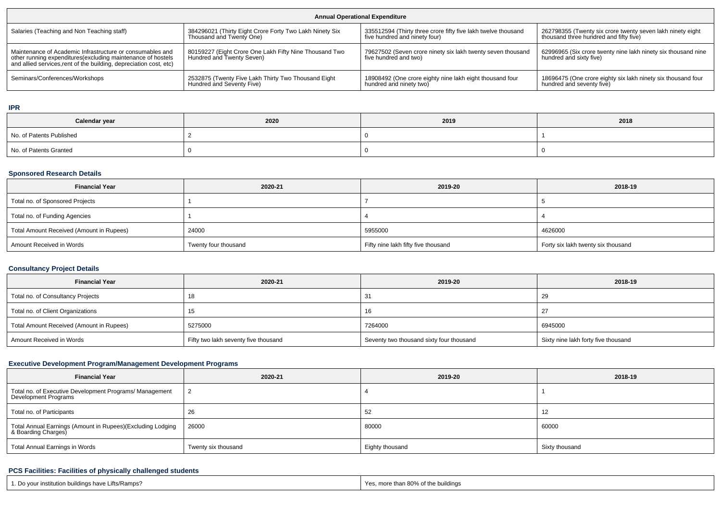| <b>Annual Operational Expenditure</b>                                                                                                                                                           |                                                                                     |                                                                                      |                                                                                          |  |  |  |  |  |
|-------------------------------------------------------------------------------------------------------------------------------------------------------------------------------------------------|-------------------------------------------------------------------------------------|--------------------------------------------------------------------------------------|------------------------------------------------------------------------------------------|--|--|--|--|--|
| Salaries (Teaching and Non Teaching staff)                                                                                                                                                      | 384296021 (Thirty Eight Crore Forty Two Lakh Ninety Six                             | 335512594 (Thirty three crore fifty five lakh twelve thousand                        | 262798355 (Twenty six crore twenty seven lakh ninety eight                               |  |  |  |  |  |
|                                                                                                                                                                                                 | Thousand and Twenty One)                                                            | five hundred and ninety four)                                                        | thousand three hundred and fifty five)                                                   |  |  |  |  |  |
| Maintenance of Academic Infrastructure or consumables and<br>other running expenditures (excluding maintenance of hostels<br>and allied services, rent of the building, depreciation cost, etc) | 80159227 (Eight Crore One Lakh Fifty Nine Thousand Two<br>Hundred and Twenty Seven) | 79627502 (Seven crore ninety six lakh twenty seven thousand<br>five hundred and two) | 62996965 (Six crore twenty nine lakh ninety six thousand nine<br>hundred and sixty five) |  |  |  |  |  |
| Seminars/Conferences/Workshops                                                                                                                                                                  | 2532875 (Twenty Five Lakh Thirty Two Thousand Eight                                 | 18908492 (One crore eighty nine lakh eight thousand four                             | 18696475 (One crore eighty six lakh ninety six thousand four                             |  |  |  |  |  |
|                                                                                                                                                                                                 | Hundred and Seventy Five)                                                           | hundred and ninety two                                                               | hundred and seventy five)                                                                |  |  |  |  |  |

**IPR**

| Calendar year            | 2020 | 2019 | 2018 |
|--------------------------|------|------|------|
| No. of Patents Published |      |      |      |
| No. of Patents Granted   |      |      |      |

#### **Sponsored Research Details**

| <b>Financial Year</b>                    | 2020-21              | 2019-20                             | 2018-19                            |
|------------------------------------------|----------------------|-------------------------------------|------------------------------------|
| Total no. of Sponsored Projects          |                      |                                     |                                    |
| Total no. of Funding Agencies            |                      |                                     |                                    |
| Total Amount Received (Amount in Rupees) | 24000                | 5955000                             | 4626000                            |
| Amount Received in Words                 | Twenty four thousand | Fifty nine lakh fifty five thousand | Forty six lakh twenty six thousand |

### **Consultancy Project Details**

| <b>Financial Year</b>                    | 2020-21                              | 2019-20                                  | 2018-19                             |
|------------------------------------------|--------------------------------------|------------------------------------------|-------------------------------------|
| Total no. of Consultancy Projects        | 18                                   |                                          | 29                                  |
| Total no. of Client Organizations        | ျပ                                   | 16                                       | $2^{\circ}$                         |
| Total Amount Received (Amount in Rupees) | 5275000                              | 7264000                                  | 6945000                             |
| Amount Received in Words                 | Fifty two lakh seventy five thousand | Seventy two thousand sixty four thousand | Sixty nine lakh forty five thousand |

# **Executive Development Program/Management Development Programs**

| <b>Financial Year</b>                                                             | 2020-21             | 2019-20         | 2018-19        |
|-----------------------------------------------------------------------------------|---------------------|-----------------|----------------|
| Total no. of Executive Development Programs/ Management<br>Development Programs   |                     |                 |                |
| Total no. of Participants                                                         | 26                  | 52              | 12             |
| Total Annual Earnings (Amount in Rupees)(Excluding Lodging<br>& Boarding Charges) | 26000               | 80000           | 60000          |
| Total Annual Earnings in Words                                                    | Twenty six thousand | Eighty thousand | Sixty thousand |

### **PCS Facilities: Facilities of physically challenged students**

| 1. Do your institution buildings have Lifts/Ramps? | s, more than 80% of the buildings |
|----------------------------------------------------|-----------------------------------|
|                                                    | Yes                               |
|                                                    |                                   |
|                                                    |                                   |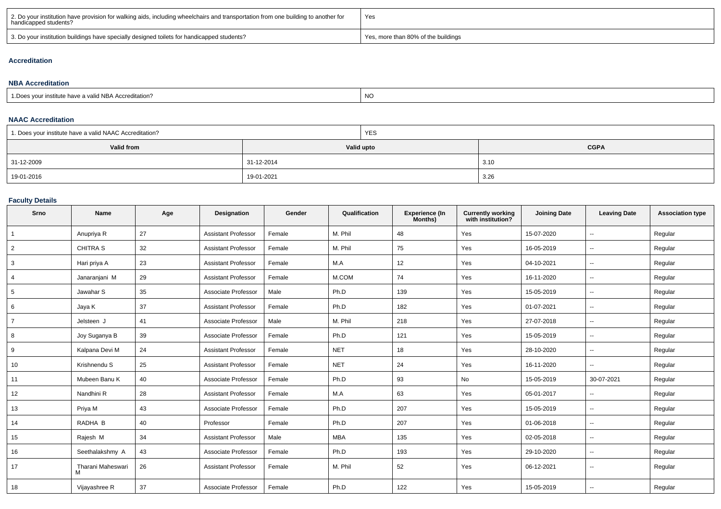| 2. Do your institution have provision for walking aids, including wheelchairs and transportation from one building to another for<br>handicapped students? | Yes                                 |
|------------------------------------------------------------------------------------------------------------------------------------------------------------|-------------------------------------|
| 3. Do your institution buildings have specially designed toilets for handicapped students?                                                                 | Yes, more than 80% of the buildings |

#### **Accreditation**

#### **NBA Accreditation**1.Does your institute have a valid NBA Accreditation?expression of the contract of the contract of the contract of the contract of the contract of the contract of the contract of the contract of the contract of the contract of the contract of the contract of the contract of

#### **NAAC Accreditation**

| 1. Does your institute have a valid NAAC Accreditation? | <b>YES</b> |             |
|---------------------------------------------------------|------------|-------------|
| <b>Valid from</b>                                       | Valid upto | <b>CGPA</b> |
| 31-12-2009                                              | 31-12-2014 | 3.10        |
| 19-01-2016                                              | 19-01-2021 | 3.26        |

### **Faculty Details**

| Srno           | <b>Name</b>            | Age | <b>Designation</b>         | Gender | Qualification | <b>Experience (In</b><br>Months) | <b>Currently working</b><br>with institution? | <b>Joining Date</b> | <b>Leaving Date</b>      | <b>Association type</b> |
|----------------|------------------------|-----|----------------------------|--------|---------------|----------------------------------|-----------------------------------------------|---------------------|--------------------------|-------------------------|
|                | Anupriya R             | 27  | <b>Assistant Professor</b> | Female | M. Phil       | 48                               | Yes                                           | 15-07-2020          | --                       | Regular                 |
| $\overline{2}$ | <b>CHITRA S</b>        | 32  | <b>Assistant Professor</b> | Female | M. Phil       | 75                               | Yes                                           | 16-05-2019          | --                       | Regular                 |
| 3              | Hari priya A           | 23  | <b>Assistant Professor</b> | Female | M.A           | 12                               | Yes                                           | 04-10-2021          | ٠.                       | Regular                 |
| 4              | Janaraniani M          | 29  | <b>Assistant Professor</b> | Female | M.COM         | 74                               | Yes                                           | 16-11-2020          | $\overline{\phantom{a}}$ | Regular                 |
| 5              | Jawahar S              | 35  | Associate Professor        | Male   | Ph.D          | 139                              | Yes                                           | 15-05-2019          | ۰.                       | Regular                 |
| 6              | Jaya K                 | 37  | <b>Assistant Professor</b> | Female | Ph.D          | 182                              | Yes                                           | 01-07-2021          | $\overline{a}$           | Regular                 |
| $\overline{7}$ | Jelsteen J             | 41  | Associate Professor        | Male   | M. Phil       | 218                              | Yes                                           | 27-07-2018          | ۰.                       | Regular                 |
| 8              | Joy Suganya B          | 39  | Associate Professor        | Female | Ph.D          | 121                              | Yes                                           | 15-05-2019          | $\overline{\phantom{a}}$ | Regular                 |
| 9              | Kalpana Devi M         | 24  | <b>Assistant Professor</b> | Female | <b>NET</b>    | 18                               | Yes                                           | 28-10-2020          | $\overline{a}$           | Regular                 |
| 10             | Krishnendu S           | 25  | <b>Assistant Professor</b> | Female | <b>NET</b>    | 24                               | Yes                                           | 16-11-2020          | --                       | Regular                 |
| 11             | Mubeen Banu K          | 40  | Associate Professor        | Female | Ph.D          | 93                               | No                                            | 15-05-2019          | 30-07-2021               | Regular                 |
| 12             | Nandhini R             | 28  | <b>Assistant Professor</b> | Female | M.A           | 63                               | Yes                                           | 05-01-2017          | $\overline{\phantom{a}}$ | Regular                 |
| 13             | Priya M                | 43  | Associate Professor        | Female | Ph.D          | 207                              | Yes                                           | 15-05-2019          | $\overline{a}$           | Regular                 |
| 14             | RADHA B                | 40  | Professor                  | Female | Ph.D          | 207                              | Yes                                           | 01-06-2018          | --                       | Regular                 |
| 15             | Rajesh M               | 34  | <b>Assistant Professor</b> | Male   | <b>MBA</b>    | 135                              | Yes                                           | 02-05-2018          | --                       | Regular                 |
| 16             | Seethalakshmy A        | 43  | Associate Professor        | Female | Ph.D          | 193                              | Yes                                           | 29-10-2020          | --                       | Regular                 |
| 17             | Tharani Maheswari<br>M | 26  | <b>Assistant Professor</b> | Female | M. Phil       | 52                               | Yes                                           | 06-12-2021          | --                       | Regular                 |
| 18             | Vijayashree R          | 37  | Associate Professor        | Female | Ph.D          | 122                              | Yes                                           | 15-05-2019          | --                       | Regular                 |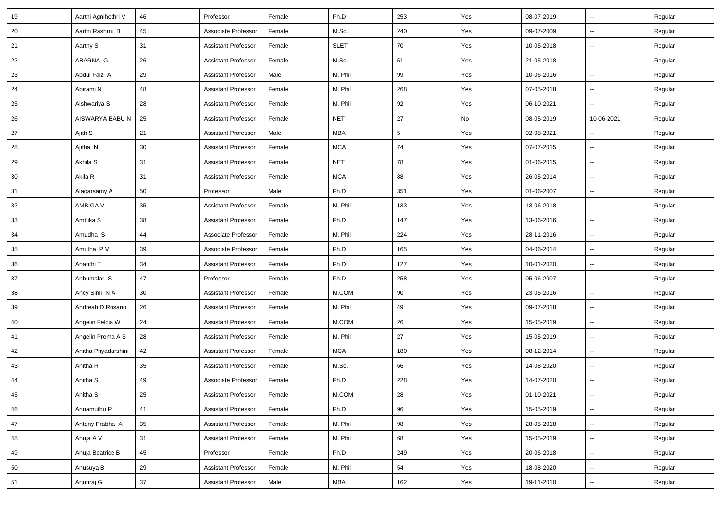| 19     | Aarthi Agnihothri V  | 46 | Professor                  | Female | Ph.D        | 253             | Yes | 08-07-2019 | $\overline{\phantom{a}}$ | Regular |
|--------|----------------------|----|----------------------------|--------|-------------|-----------------|-----|------------|--------------------------|---------|
| 20     | Aarthi Rashmi B      | 45 | Associate Professor        | Female | M.Sc.       | 240             | Yes | 09-07-2009 | $\sim$                   | Regular |
| 21     | Aarthy S             | 31 | <b>Assistant Professor</b> | Female | <b>SLET</b> | 70              | Yes | 10-05-2018 | $\overline{\phantom{a}}$ | Regular |
| 22     | ABARNA G             | 26 | <b>Assistant Professor</b> | Female | M.Sc.       | 51              | Yes | 21-05-2018 | $\overline{\phantom{a}}$ | Regular |
| 23     | Abdul Faiz A         | 29 | <b>Assistant Professor</b> | Male   | M. Phil     | 99              | Yes | 10-06-2016 | -−                       | Regular |
| 24     | Abirami N            | 48 | <b>Assistant Professor</b> | Female | M. Phil     | 268             | Yes | 07-05-2018 | Ξ.                       | Regular |
| 25     | Aishwariya S         | 28 | <b>Assistant Professor</b> | Female | M. Phil     | 92              | Yes | 06-10-2021 | ш.                       | Regular |
| 26     | AISWARYA BABU N      | 25 | <b>Assistant Professor</b> | Female | <b>NET</b>  | 27              | No  | 08-05-2019 | 10-06-2021               | Regular |
| 27     | Ajith S              | 21 | <b>Assistant Professor</b> | Male   | <b>MBA</b>  | $5\phantom{.0}$ | Yes | 02-08-2021 | $\overline{\phantom{a}}$ | Regular |
| 28     | Ajitha N             | 30 | <b>Assistant Professor</b> | Female | <b>MCA</b>  | 74              | Yes | 07-07-2015 | $\overline{\phantom{a}}$ | Regular |
| 29     | Akhila S             | 31 | <b>Assistant Professor</b> | Female | <b>NET</b>  | 78              | Yes | 01-06-2015 | -−                       | Regular |
| 30     | Akila R              | 31 | <b>Assistant Professor</b> | Female | <b>MCA</b>  | 88              | Yes | 26-05-2014 | ш.                       | Regular |
| 31     | Alagarsamy A         | 50 | Professor                  | Male   | Ph.D        | 351             | Yes | 01-06-2007 | Ξ.                       | Regular |
| 32     | <b>AMBIGA V</b>      | 35 | <b>Assistant Professor</b> | Female | M. Phil     | 133             | Yes | 13-06-2018 | ⊷.                       | Regular |
| 33     | Ambika S             | 38 | <b>Assistant Professor</b> | Female | Ph.D        | 147             | Yes | 13-06-2016 | $\overline{\phantom{a}}$ | Regular |
| 34     | Amudha S             | 44 | Associate Professor        | Female | M. Phil     | 224             | Yes | 28-11-2016 | $\overline{\phantom{a}}$ | Regular |
| 35     | Amutha P V           | 39 | Associate Professor        | Female | Ph.D        | 165             | Yes | 04-06-2014 | $\overline{\phantom{a}}$ | Regular |
| 36     | Ananthi T            | 34 | <b>Assistant Professor</b> | Female | Ph.D        | 127             | Yes | 10-01-2020 | --                       | Regular |
| 37     | Anbumalar S          | 47 | Professor                  | Female | Ph.D        | 258             | Yes | 05-06-2007 | $\sim$                   | Regular |
| 38     | Ancy Simi N A        | 30 | <b>Assistant Professor</b> | Female | M.COM       | 90              | Yes | 23-05-2016 | ⊷.                       | Regular |
| 39     | Andreah D Rosario    | 26 | <b>Assistant Professor</b> | Female | M. Phil     | 49              | Yes | 09-07-2018 | Ξ.                       | Regular |
| 40     | Angelin Felcia W     | 24 | <b>Assistant Professor</b> | Female | M.COM       | 26              | Yes | 15-05-2019 | -−                       | Regular |
| 41     | Angelin Prema A S    | 28 | <b>Assistant Professor</b> | Female | M. Phil     | 27              | Yes | 15-05-2019 | -−                       | Regular |
| 42     | Anitha Priyadarshini | 42 | <b>Assistant Professor</b> | Female | <b>MCA</b>  | 180             | Yes | 08-12-2014 | $\overline{\phantom{a}}$ | Regular |
| 43     | Anitha R             | 35 | <b>Assistant Professor</b> | Female | M.Sc.       | 66              | Yes | 14-08-2020 | $\overline{\phantom{a}}$ | Regular |
| 44     | Anitha <sub>S</sub>  | 49 | Associate Professor        | Female | Ph.D        | 228             | Yes | 14-07-2020 | $\overline{\phantom{a}}$ | Regular |
| 45     | Anitha S             | 25 | <b>Assistant Professor</b> | Female | M.COM       | 28              | Yes | 01-10-2021 | ⊶.                       | Regular |
| 46     | Annamuthu P          | 41 | <b>Assistant Professor</b> | Female | Ph.D        | 96              | Yes | 15-05-2019 | Ξ.                       | Regular |
| 47     | Antony Prabha A      | 35 | <b>Assistant Professor</b> | Female | M. Phil     | 98              | Yes | 28-05-2018 | --                       | Regular |
| 48     | Anuja A V            | 31 | <b>Assistant Professor</b> | Female | M. Phil     | 68              | Yes | 15-05-2019 | Щ,                       | Regular |
| 49     | Anuja Beatrice B     | 45 | Professor                  | Female | Ph.D        | 249             | Yes | 20-06-2018 | $\sim$                   | Regular |
| $50\,$ | Anusuya B            | 29 | <b>Assistant Professor</b> | Female | M. Phil     | 54              | Yes | 18-08-2020 | $\overline{\phantom{a}}$ | Regular |
| 51     | Arjunraj G           | 37 | <b>Assistant Professor</b> | Male   | MBA         | 162             | Yes | 19-11-2010 | $\overline{\phantom{a}}$ | Regular |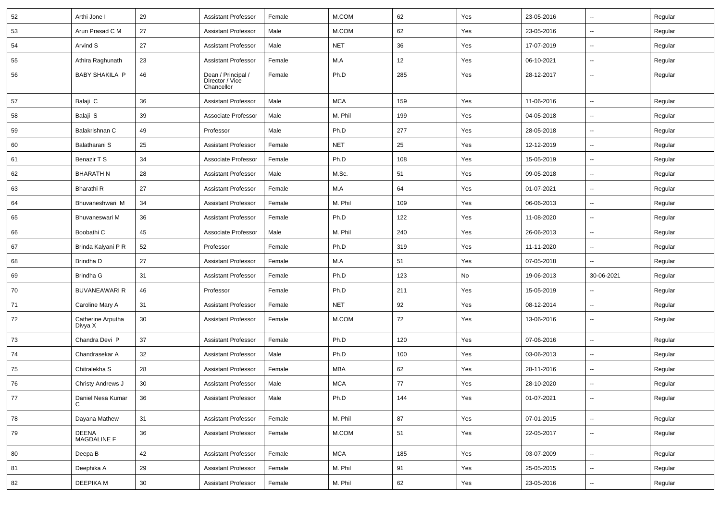| 52     | Arthi Jone I                 | 29     | <b>Assistant Professor</b>                          | Female | M.COM      | 62  | Yes | 23-05-2016 | $\overline{\phantom{a}}$ | Regular |
|--------|------------------------------|--------|-----------------------------------------------------|--------|------------|-----|-----|------------|--------------------------|---------|
| 53     | Arun Prasad C M              | 27     | <b>Assistant Professor</b>                          | Male   | M.COM      | 62  | Yes | 23-05-2016 | $\overline{\phantom{a}}$ | Regular |
| 54     | Arvind S                     | 27     | <b>Assistant Professor</b>                          | Male   | <b>NET</b> | 36  | Yes | 17-07-2019 | Ξ.                       | Regular |
| 55     | Athira Raghunath             | 23     | <b>Assistant Professor</b>                          | Female | M.A        | 12  | Yes | 06-10-2021 | $\overline{\phantom{a}}$ | Regular |
| 56     | <b>BABY SHAKILA P</b>        | 46     | Dean / Principal /<br>Director / Vice<br>Chancellor | Female | Ph.D       | 285 | Yes | 28-12-2017 | --                       | Regular |
| 57     | Balaji C                     | 36     | <b>Assistant Professor</b>                          | Male   | <b>MCA</b> | 159 | Yes | 11-06-2016 | $\overline{\phantom{a}}$ | Regular |
| 58     | Balaji S                     | 39     | Associate Professor                                 | Male   | M. Phil    | 199 | Yes | 04-05-2018 | $\overline{\phantom{a}}$ | Regular |
| 59     | Balakrishnan C               | 49     | Professor                                           | Male   | Ph.D       | 277 | Yes | 28-05-2018 | $\sim$                   | Regular |
| 60     | Balatharani S                | 25     | <b>Assistant Professor</b>                          | Female | <b>NET</b> | 25  | Yes | 12-12-2019 | $\sim$                   | Regular |
| 61     | Benazir T S                  | 34     | Associate Professor                                 | Female | Ph.D       | 108 | Yes | 15-05-2019 | $\overline{\phantom{a}}$ | Regular |
| 62     | BHARATH N                    | 28     | <b>Assistant Professor</b>                          | Male   | M.Sc.      | 51  | Yes | 09-05-2018 | Ξ.                       | Regular |
| 63     | Bharathi R                   | 27     | <b>Assistant Professor</b>                          | Female | M.A        | 64  | Yes | 01-07-2021 | $\overline{\phantom{a}}$ | Regular |
| 64     | Bhuvaneshwari M              | 34     | <b>Assistant Professor</b>                          | Female | M. Phil    | 109 | Yes | 06-06-2013 | $\overline{\phantom{a}}$ | Regular |
| 65     | Bhuvaneswari M               | 36     | <b>Assistant Professor</b>                          | Female | Ph.D       | 122 | Yes | 11-08-2020 | $\overline{\phantom{a}}$ | Regular |
| 66     | Boobathi C                   | 45     | Associate Professor                                 | Male   | M. Phil    | 240 | Yes | 26-06-2013 | $\sim$                   | Regular |
| 67     | Brinda Kalyani P R           | 52     | Professor                                           | Female | Ph.D       | 319 | Yes | 11-11-2020 | $\overline{\phantom{a}}$ | Regular |
| 68     | Brindha D                    | 27     | <b>Assistant Professor</b>                          | Female | M.A        | 51  | Yes | 07-05-2018 | $\overline{\phantom{a}}$ | Regular |
| 69     | Brindha G                    | 31     | <b>Assistant Professor</b>                          | Female | Ph.D       | 123 | No  | 19-06-2013 | 30-06-2021               | Regular |
| 70     | <b>BUVANEAWARI R</b>         | 46     | Professor                                           | Female | Ph.D       | 211 | Yes | 15-05-2019 | --                       | Regular |
| 71     | Caroline Mary A              | 31     | <b>Assistant Professor</b>                          | Female | <b>NET</b> | 92  | Yes | 08-12-2014 | $\overline{\phantom{a}}$ | Regular |
| 72     | Catherine Arputha<br>Divya X | 30     | <b>Assistant Professor</b>                          | Female | M.COM      | 72  | Yes | 13-06-2016 | $\overline{\phantom{a}}$ | Regular |
| 73     | Chandra Devi P               | 37     | <b>Assistant Professor</b>                          | Female | Ph.D       | 120 | Yes | 07-06-2016 | Щ,                       | Regular |
| 74     | Chandrasekar A               | 32     | <b>Assistant Professor</b>                          | Male   | Ph.D       | 100 | Yes | 03-06-2013 | $\overline{\phantom{a}}$ | Regular |
| 75     | Chitralekha S                | 28     | <b>Assistant Professor</b>                          | Female | <b>MBA</b> | 62  | Yes | 28-11-2016 | $\overline{\phantom{a}}$ | Regular |
| 76     | Christy Andrews J            | 30     | <b>Assistant Professor</b>                          | Male   | <b>MCA</b> | 77  | Yes | 28-10-2020 |                          | Regular |
| $77\,$ | Daniel Nesa Kumar            | 36     | <b>Assistant Professor</b>                          | Male   | Ph.D       | 144 | Yes | 01-07-2021 | $\overline{\phantom{a}}$ | Regular |
| 78     | Dayana Mathew                | 31     | <b>Assistant Professor</b>                          | Female | M. Phil    | 87  | Yes | 07-01-2015 | ÷.                       | Regular |
| 79     | DEENA<br>MAGDALINE F         | 36     | <b>Assistant Professor</b>                          | Female | M.COM      | 51  | Yes | 22-05-2017 | Ц.                       | Regular |
| 80     | Deepa B                      | 42     | <b>Assistant Professor</b>                          | Female | <b>MCA</b> | 185 | Yes | 03-07-2009 | Ц.                       | Regular |
| 81     | Deephika A                   | 29     | <b>Assistant Professor</b>                          | Female | M. Phil    | 91  | Yes | 25-05-2015 | $\overline{\phantom{a}}$ | Regular |
| 82     | DEEPIKA M                    | $30\,$ | <b>Assistant Professor</b>                          | Female | M. Phil    | 62  | Yes | 23-05-2016 | $\overline{\phantom{a}}$ | Regular |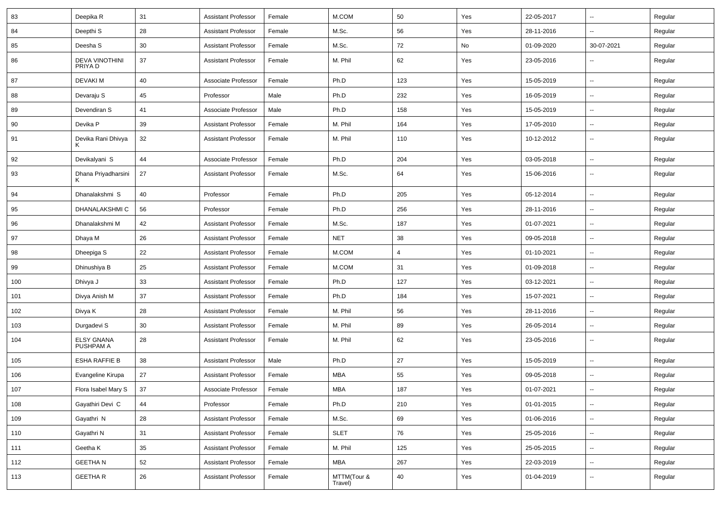| 83  | Deepika R                        | 31 | <b>Assistant Professor</b> | Female | M.COM                  | 50  | Yes | 22-05-2017 | ⊶.                       | Regular |
|-----|----------------------------------|----|----------------------------|--------|------------------------|-----|-----|------------|--------------------------|---------|
| 84  | Deepthi <sub>S</sub>             | 28 | <b>Assistant Professor</b> | Female | M.Sc.                  | 56  | Yes | 28-11-2016 | -−                       | Regular |
| 85  | Deesha S                         | 30 | <b>Assistant Professor</b> | Female | M.Sc.                  | 72  | No  | 01-09-2020 | 30-07-2021               | Regular |
| 86  | <b>DEVA VINOTHINI</b><br>PRIYA D | 37 | <b>Assistant Professor</b> | Female | M. Phil                | 62  | Yes | 23-05-2016 |                          | Regular |
| 87  | <b>DEVAKIM</b>                   | 40 | Associate Professor        | Female | Ph.D                   | 123 | Yes | 15-05-2019 | ⊶.                       | Regular |
| 88  | Devaraju S                       | 45 | Professor                  | Male   | Ph.D                   | 232 | Yes | 16-05-2019 | --                       | Regular |
| 89  | Devendiran S                     | 41 | Associate Professor        | Male   | Ph.D                   | 158 | Yes | 15-05-2019 | $\overline{\phantom{a}}$ | Regular |
| 90  | Devika P                         | 39 | <b>Assistant Professor</b> | Female | M. Phil                | 164 | Yes | 17-05-2010 | ⊶.                       | Regular |
| 91  | Devika Rani Dhivya               | 32 | <b>Assistant Professor</b> | Female | M. Phil                | 110 | Yes | 10-12-2012 | −−                       | Regular |
| 92  | Devikalyani S                    | 44 | Associate Professor        | Female | Ph.D                   | 204 | Yes | 03-05-2018 | -−                       | Regular |
| 93  | Dhana Priyadharsini              | 27 | <b>Assistant Professor</b> | Female | M.Sc.                  | 64  | Yes | 15-06-2016 | $\overline{\phantom{a}}$ | Regular |
| 94  | Dhanalakshmi S                   | 40 | Professor                  | Female | Ph.D                   | 205 | Yes | 05-12-2014 | $\sim$                   | Regular |
| 95  | DHANALAKSHMI C                   | 56 | Professor                  | Female | Ph.D                   | 256 | Yes | 28-11-2016 | --                       | Regular |
| 96  | Dhanalakshmi M                   | 42 | <b>Assistant Professor</b> | Female | M.Sc.                  | 187 | Yes | 01-07-2021 | --                       | Regular |
| 97  | Dhaya M                          | 26 | <b>Assistant Professor</b> | Female | <b>NET</b>             | 38  | Yes | 09-05-2018 | ⊷.                       | Regular |
| 98  | Dheepiga S                       | 22 | <b>Assistant Professor</b> | Female | M.COM                  | 4   | Yes | 01-10-2021 | ⊷.                       | Regular |
| 99  | Dhinushiya B                     | 25 | <b>Assistant Professor</b> | Female | M.COM                  | 31  | Yes | 01-09-2018 | --                       | Regular |
| 100 | Dhivya J                         | 33 | <b>Assistant Professor</b> | Female | Ph.D                   | 127 | Yes | 03-12-2021 | $\overline{\phantom{a}}$ | Regular |
| 101 | Divya Anish M                    | 37 | <b>Assistant Professor</b> | Female | Ph.D                   | 184 | Yes | 15-07-2021 | --                       | Regular |
| 102 | Divya K                          | 28 | <b>Assistant Professor</b> | Female | M. Phil                | 56  | Yes | 28-11-2016 | -−                       | Regular |
| 103 | Durgadevi S                      | 30 | <b>Assistant Professor</b> | Female | M. Phil                | 89  | Yes | 26-05-2014 | $\sim$                   | Regular |
| 104 | <b>ELSY GNANA</b><br>PUSHPAM A   | 28 | <b>Assistant Professor</b> | Female | M. Phil                | 62  | Yes | 23-05-2016 | −−                       | Regular |
| 105 | <b>ESHA RAFFIE B</b>             | 38 | <b>Assistant Professor</b> | Male   | Ph.D                   | 27  | Yes | 15-05-2019 | $\sim$                   | Regular |
| 106 | Evangeline Kirupa                | 27 | <b>Assistant Professor</b> | Female | MBA                    | 55  | Yes | 09-05-2018 | --                       | Regular |
| 107 | Flora Isabel Mary S              | 37 | Associate Professor        | Female | MBA                    | 187 | Yes | 01-07-2021 | $\overline{\phantom{a}}$ | Regular |
| 108 | Gayathiri Devi C                 | 44 | Professor                  | Female | Ph.D                   | 210 | Yes | 01-01-2015 | $\sim$                   | Regular |
| 109 | Gayathri N                       | 28 | <b>Assistant Professor</b> | Female | M.Sc.                  | 69  | Yes | 01-06-2016 | Ξ.                       | Regular |
| 110 | Gayathri N                       | 31 | <b>Assistant Professor</b> | Female | <b>SLET</b>            | 76  | Yes | 25-05-2016 | Щ,                       | Regular |
| 111 | Geetha K                         | 35 | <b>Assistant Professor</b> | Female | M. Phil                | 125 | Yes | 25-05-2015 | $\overline{\phantom{a}}$ | Regular |
| 112 | <b>GEETHAN</b>                   | 52 | <b>Assistant Professor</b> | Female | MBA                    | 267 | Yes | 22-03-2019 | $\overline{\phantom{a}}$ | Regular |
| 113 | <b>GEETHAR</b>                   | 26 | <b>Assistant Professor</b> | Female | MTTM(Tour &<br>Travel) | 40  | Yes | 01-04-2019 | ⊷                        | Regular |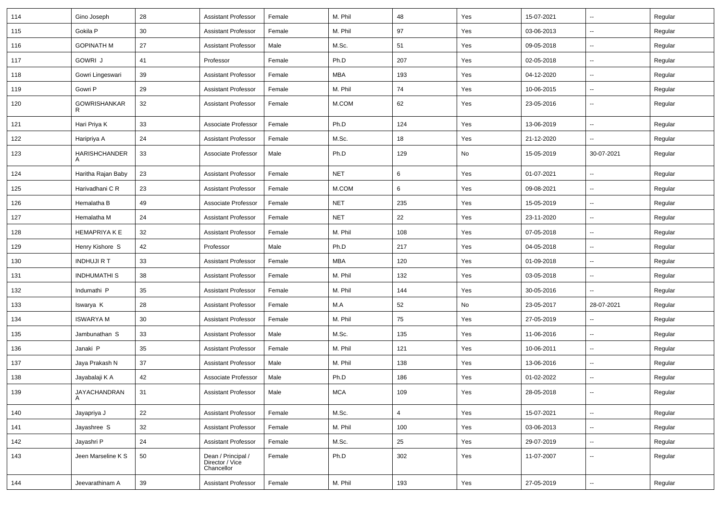| 114 | Gino Joseph              | 28              | <b>Assistant Professor</b>                          | Female | M. Phil    | 48             | Yes | 15-07-2021 | $\overline{\phantom{a}}$ | Regular |
|-----|--------------------------|-----------------|-----------------------------------------------------|--------|------------|----------------|-----|------------|--------------------------|---------|
| 115 | Gokila P                 | 30 <sup>°</sup> | <b>Assistant Professor</b>                          | Female | M. Phil    | 97             | Yes | 03-06-2013 | $\overline{\phantom{a}}$ | Regular |
| 116 | <b>GOPINATH M</b>        | 27              | <b>Assistant Professor</b>                          | Male   | M.Sc.      | 51             | Yes | 09-05-2018 |                          | Regular |
| 117 | GOWRI J                  | 41              | Professor                                           | Female | Ph.D       | 207            | Yes | 02-05-2018 | $\overline{\phantom{a}}$ | Regular |
| 118 | Gowri Lingeswari         | 39              | <b>Assistant Professor</b>                          | Female | <b>MBA</b> | 193            | Yes | 04-12-2020 | ⊷.                       | Regular |
| 119 | Gowri P                  | 29              | <b>Assistant Professor</b>                          | Female | M. Phil    | 74             | Yes | 10-06-2015 | Ξ.                       | Regular |
| 120 | <b>GOWRISHANKAR</b><br>R | 32              | <b>Assistant Professor</b>                          | Female | M.COM      | 62             | Yes | 23-05-2016 | $\sim$                   | Regular |
| 121 | Hari Priya K             | 33              | Associate Professor                                 | Female | Ph.D       | 124            | Yes | 13-06-2019 | Ц.                       | Regular |
| 122 | Haripriya A              | 24              | <b>Assistant Professor</b>                          | Female | M.Sc.      | 18             | Yes | 21-12-2020 | $\sim$                   | Regular |
| 123 | <b>HARISHCHANDER</b>     | 33              | Associate Professor                                 | Male   | Ph.D       | 129            | No  | 15-05-2019 | 30-07-2021               | Regular |
| 124 | Haritha Rajan Baby       | 23              | <b>Assistant Professor</b>                          | Female | <b>NET</b> | 6              | Yes | 01-07-2021 | н.                       | Regular |
| 125 | Harivadhani C R          | 23              | <b>Assistant Professor</b>                          | Female | M.COM      | 6              | Yes | 09-08-2021 | н.                       | Regular |
| 126 | Hemalatha B              | 49              | Associate Professor                                 | Female | <b>NET</b> | 235            | Yes | 15-05-2019 | $\overline{\phantom{a}}$ | Regular |
| 127 | Hemalatha M              | 24              | <b>Assistant Professor</b>                          | Female | <b>NET</b> | 22             | Yes | 23-11-2020 | Ξ.                       | Regular |
| 128 | <b>HEMAPRIYA K E</b>     | 32              | <b>Assistant Professor</b>                          | Female | M. Phil    | 108            | Yes | 07-05-2018 | Ξ.                       | Regular |
| 129 | Henry Kishore S          | 42              | Professor                                           | Male   | Ph.D       | 217            | Yes | 04-05-2018 | $\sim$                   | Regular |
| 130 | <b>INDHUJI R T</b>       | 33              | <b>Assistant Professor</b>                          | Female | <b>MBA</b> | 120            | Yes | 01-09-2018 | --                       | Regular |
| 131 | INDHUMATHI S             | 38              | <b>Assistant Professor</b>                          | Female | M. Phil    | 132            | Yes | 03-05-2018 | $\sim$                   | Regular |
| 132 | Indumathi P              | 35              | <b>Assistant Professor</b>                          | Female | M. Phil    | 144            | Yes | 30-05-2016 |                          | Regular |
| 133 | Iswarya K                | 28              | <b>Assistant Professor</b>                          | Female | M.A        | 52             | No  | 23-05-2017 | 28-07-2021               | Regular |
| 134 | <b>ISWARYA M</b>         | 30              | <b>Assistant Professor</b>                          | Female | M. Phil    | 75             | Yes | 27-05-2019 | Щ,                       | Regular |
| 135 | Jambunathan S            | 33              | <b>Assistant Professor</b>                          | Male   | M.Sc.      | 135            | Yes | 11-06-2016 | $\sim$                   | Regular |
| 136 | Janaki P                 | 35              | <b>Assistant Professor</b>                          | Female | M. Phil    | 121            | Yes | 10-06-2011 | н.                       | Regular |
| 137 | Jaya Prakash N           | 37              | <b>Assistant Professor</b>                          | Male   | M. Phil    | 138            | Yes | 13-06-2016 | $\overline{\phantom{a}}$ | Regular |
| 138 | Jayabalaji K A           | 42              | Associate Professor                                 | Male   | Ph.D       | 186            | Yes | 01-02-2022 | Ξ.                       | Regular |
| 139 | JAYACHANDRAN             | 31              | Assistant Professor                                 | Male   | <b>MCA</b> | 109            | Yes | 28-05-2018 |                          | Regular |
| 140 | Jayapriya J              | 22              | <b>Assistant Professor</b>                          | Female | M.Sc.      | $\overline{4}$ | Yes | 15-07-2021 | н.                       | Regular |
| 141 | Jayashree S              | 32              | Assistant Professor                                 | Female | M. Phil    | 100            | Yes | 03-06-2013 | $\overline{\phantom{a}}$ | Regular |
| 142 | Jayashri P               | 24              | <b>Assistant Professor</b>                          | Female | M.Sc.      | 25             | Yes | 29-07-2019 | щ.                       | Regular |
| 143 | Jeen Marseline K S       | 50              | Dean / Principal /<br>Director / Vice<br>Chancellor | Female | Ph.D       | 302            | Yes | 11-07-2007 | $\sim$                   | Regular |
| 144 | Jeevarathinam A          | 39              | <b>Assistant Professor</b>                          | Female | M. Phil    | 193            | Yes | 27-05-2019 | $\sim$                   | Regular |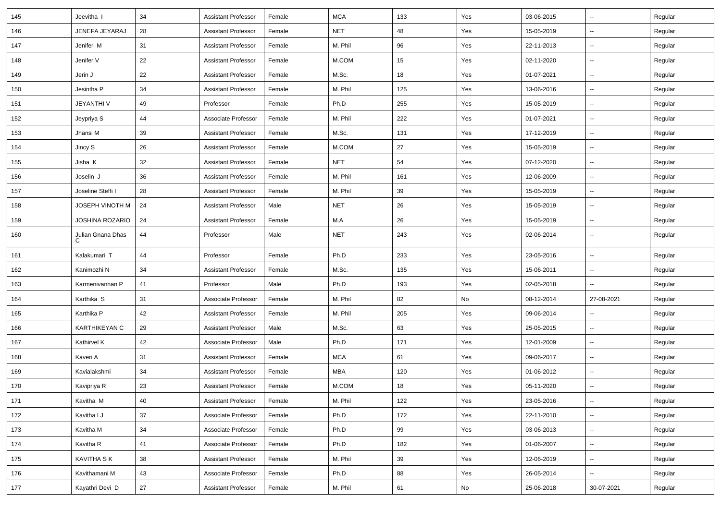| 145 | Jeevitha I             | 34 | <b>Assistant Professor</b> | Female | <b>MCA</b> | 133 | Yes | 03-06-2015 | $\overline{\phantom{a}}$ | Regular |
|-----|------------------------|----|----------------------------|--------|------------|-----|-----|------------|--------------------------|---------|
| 146 | JENEFA JEYARAJ         | 28 | <b>Assistant Professor</b> | Female | <b>NET</b> | 48  | Yes | 15-05-2019 | Ξ.                       | Regular |
| 147 | Jenifer M              | 31 | <b>Assistant Professor</b> | Female | M. Phil    | 96  | Yes | 22-11-2013 | --                       | Regular |
| 148 | Jenifer V              | 22 | <b>Assistant Professor</b> | Female | M.COM      | 15  | Yes | 02-11-2020 | $\overline{\phantom{a}}$ | Regular |
| 149 | Jerin J                | 22 | <b>Assistant Professor</b> | Female | M.Sc.      | 18  | Yes | 01-07-2021 | $\overline{\phantom{a}}$ | Regular |
| 150 | Jesintha P             | 34 | <b>Assistant Professor</b> | Female | M. Phil    | 125 | Yes | 13-06-2016 | $\overline{\phantom{a}}$ | Regular |
| 151 | JEYANTHI V             | 49 | Professor                  | Female | Ph.D       | 255 | Yes | 15-05-2019 | $\sim$                   | Regular |
| 152 | Jeypriya S             | 44 | Associate Professor        | Female | M. Phil    | 222 | Yes | 01-07-2021 | $\sim$                   | Regular |
| 153 | Jhansi M               | 39 | <b>Assistant Professor</b> | Female | M.Sc.      | 131 | Yes | 17-12-2019 | $\overline{\phantom{a}}$ | Regular |
| 154 | Jincy S                | 26 | Assistant Professor        | Female | M.COM      | 27  | Yes | 15-05-2019 | $\overline{\phantom{a}}$ | Regular |
| 155 | Jisha K                | 32 | <b>Assistant Professor</b> | Female | <b>NET</b> | 54  | Yes | 07-12-2020 | $\overline{\phantom{a}}$ | Regular |
| 156 | Joselin J              | 36 | <b>Assistant Professor</b> | Female | M. Phil    | 161 | Yes | 12-06-2009 | Ξ.                       | Regular |
| 157 | Joseline Steffi I      | 28 | <b>Assistant Professor</b> | Female | M. Phil    | 39  | Yes | 15-05-2019 | Ξ.                       | Regular |
| 158 | JOSEPH VINOTH M        | 24 | <b>Assistant Professor</b> | Male   | <b>NET</b> | 26  | Yes | 15-05-2019 | $\sim$                   | Regular |
| 159 | JOSHINA ROZARIO        | 24 | <b>Assistant Professor</b> | Female | M.A        | 26  | Yes | 15-05-2019 | $\overline{\phantom{a}}$ | Regular |
| 160 | Julian Gnana Dhas<br>C | 44 | Professor                  | Male   | <b>NET</b> | 243 | Yes | 02-06-2014 | н.                       | Regular |
| 161 | Kalakumari T           | 44 | Professor                  | Female | Ph.D       | 233 | Yes | 23-05-2016 | Ξ.                       | Regular |
| 162 | Kanimozhi N            | 34 | <b>Assistant Professor</b> | Female | M.Sc.      | 135 | Yes | 15-06-2011 | $\overline{\phantom{a}}$ | Regular |
| 163 | Karmenivannan P        | 41 | Professor                  | Male   | Ph.D       | 193 | Yes | 02-05-2018 | -−                       | Regular |
| 164 | Karthika S             | 31 | Associate Professor        | Female | M. Phil    | 82  | No  | 08-12-2014 | 27-08-2021               | Regular |
| 165 | Karthika P             | 42 | <b>Assistant Professor</b> | Female | M. Phil    | 205 | Yes | 09-06-2014 | $\overline{\phantom{a}}$ | Regular |
| 166 | <b>KARTHIKEYAN C</b>   | 29 | <b>Assistant Professor</b> | Male   | M.Sc.      | 63  | Yes | 25-05-2015 | н.                       | Regular |
| 167 | Kathirvel K            | 42 | Associate Professor        | Male   | Ph.D       | 171 | Yes | 12-01-2009 | $\overline{\phantom{a}}$ | Regular |
| 168 | Kaveri A               | 31 | <b>Assistant Professor</b> | Female | <b>MCA</b> | 61  | Yes | 09-06-2017 | н.                       | Regular |
| 169 | Kavialakshmi           | 34 | <b>Assistant Professor</b> | Female | <b>MBA</b> | 120 | Yes | 01-06-2012 | $\overline{\phantom{a}}$ | Regular |
| 170 | Kavipriya R            | 23 | <b>Assistant Professor</b> | Female | M.COM      | 18  | Yes | 05-11-2020 | Ξ.                       | Regular |
| 171 | Kavitha M              | 40 | <b>Assistant Professor</b> | Female | M. Phil    | 122 | Yes | 23-05-2016 | $\sim$                   | Regular |
| 172 | Kavitha I J            | 37 | Associate Professor        | Female | Ph.D       | 172 | Yes | 22-11-2010 | н.                       | Regular |
| 173 | Kavitha M              | 34 | Associate Professor        | Female | Ph.D       | 99  | Yes | 03-06-2013 | $\sim$                   | Regular |
| 174 | Kavitha R              | 41 | Associate Professor        | Female | Ph.D       | 182 | Yes | 01-06-2007 | $\sim$                   | Regular |
| 175 | <b>KAVITHA S K</b>     | 38 | <b>Assistant Professor</b> | Female | M. Phil    | 39  | Yes | 12-06-2019 | $\sim$                   | Regular |
| 176 | Kavithamani M          | 43 | Associate Professor        | Female | Ph.D       | 88  | Yes | 26-05-2014 | Ξ.                       | Regular |
| 177 | Kayathri Devi D        | 27 | <b>Assistant Professor</b> | Female | M. Phil    | 61  | No  | 25-06-2018 | 30-07-2021               | Regular |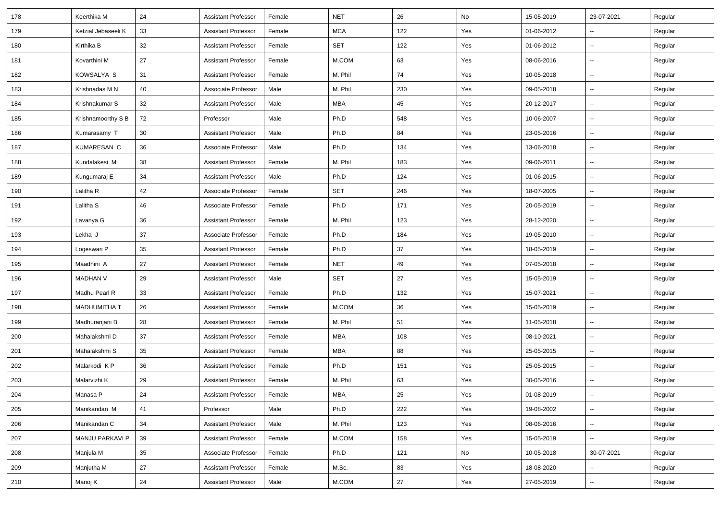| 178 | Keerthika M         | 24 | <b>Assistant Professor</b> | Female | <b>NET</b> | 26  | No  | 15-05-2019 | 23-07-2021               | Regular |
|-----|---------------------|----|----------------------------|--------|------------|-----|-----|------------|--------------------------|---------|
| 179 | Ketzial Jebaseeli K | 33 | <b>Assistant Professor</b> | Female | <b>MCA</b> | 122 | Yes | 01-06-2012 | $\overline{\phantom{a}}$ | Regular |
| 180 | Kirthika B          | 32 | <b>Assistant Professor</b> | Female | SET        | 122 | Yes | 01-06-2012 | $\overline{\phantom{a}}$ | Regular |
| 181 | Kovarthini M        | 27 | <b>Assistant Professor</b> | Female | M.COM      | 63  | Yes | 08-06-2016 | $\overline{\phantom{a}}$ | Regular |
| 182 | KOWSALYA S          | 31 | <b>Assistant Professor</b> | Female | M. Phil    | 74  | Yes | 10-05-2018 | $\overline{\phantom{a}}$ | Regular |
| 183 | Krishnadas M N      | 40 | Associate Professor        | Male   | M. Phil    | 230 | Yes | 09-05-2018 | Ξ.                       | Regular |
| 184 | Krishnakumar S      | 32 | <b>Assistant Professor</b> | Male   | MBA        | 45  | Yes | 20-12-2017 | $\sim$                   | Regular |
| 185 | Krishnamoorthy S B  | 72 | Professor                  | Male   | Ph.D       | 548 | Yes | 10-06-2007 | $\overline{\phantom{a}}$ | Regular |
| 186 | Kumarasamy T        | 30 | <b>Assistant Professor</b> | Male   | Ph.D       | 84  | Yes | 23-05-2016 | $\overline{\phantom{a}}$ | Regular |
| 187 | KUMARESAN C         | 36 | Associate Professor        | Male   | Ph.D       | 134 | Yes | 13-06-2018 | --                       | Regular |
| 188 | Kundalakesi M       | 38 | <b>Assistant Professor</b> | Female | M. Phil    | 183 | Yes | 09-06-2011 | $\overline{\phantom{a}}$ | Regular |
| 189 | Kungumaraj E        | 34 | <b>Assistant Professor</b> | Male   | Ph.D       | 124 | Yes | 01-06-2015 | Ξ.                       | Regular |
| 190 | Lalitha R           | 42 | Associate Professor        | Female | <b>SET</b> | 246 | Yes | 18-07-2005 | Ξ.                       | Regular |
| 191 | Lalitha S           | 46 | Associate Professor        | Female | Ph.D       | 171 | Yes | 20-05-2019 | -−                       | Regular |
| 192 | Lavanya G           | 36 | <b>Assistant Professor</b> | Female | M. Phil    | 123 | Yes | 28-12-2020 | Щ,                       | Regular |
| 193 | Lekha J             | 37 | Associate Professor        | Female | Ph.D       | 184 | Yes | 19-05-2010 | $\overline{\phantom{a}}$ | Regular |
| 194 | Logeswari P         | 35 | <b>Assistant Professor</b> | Female | Ph.D       | 37  | Yes | 18-05-2019 | $\overline{\phantom{a}}$ | Regular |
| 195 | Maadhini A          | 27 | <b>Assistant Professor</b> | Female | <b>NET</b> | 49  | Yes | 07-05-2018 | $\overline{\phantom{a}}$ | Regular |
| 196 | <b>MADHAN V</b>     | 29 | <b>Assistant Professor</b> | Male   | <b>SET</b> | 27  | Yes | 15-05-2019 | $\sim$                   | Regular |
| 197 | Madhu Pearl R       | 33 | <b>Assistant Professor</b> | Female | Ph.D       | 132 | Yes | 15-07-2021 | $\overline{\phantom{a}}$ | Regular |
| 198 | <b>MADHUMITHA T</b> | 26 | <b>Assistant Professor</b> | Female | M.COM      | 36  | Yes | 15-05-2019 | Ξ.                       | Regular |
| 199 | Madhuranjani B      | 28 | <b>Assistant Professor</b> | Female | M. Phil    | 51  | Yes | 11-05-2018 | $\overline{\phantom{a}}$ | Regular |
| 200 | Mahalakshmi D       | 37 | <b>Assistant Professor</b> | Female | <b>MBA</b> | 108 | Yes | 08-10-2021 | $\overline{\phantom{a}}$ | Regular |
| 201 | Mahalakshmi S       | 35 | <b>Assistant Professor</b> | Female | <b>MBA</b> | 88  | Yes | 25-05-2015 | $\overline{\phantom{a}}$ | Regular |
| 202 | Malarkodi K P       | 36 | <b>Assistant Professor</b> | Female | Ph.D       | 151 | Yes | 25-05-2015 | $\overline{\phantom{a}}$ | Regular |
| 203 | Malarvizhi K        | 29 | <b>Assistant Professor</b> | Female | M. Phil    | 63  | Yes | 30-05-2016 | н.                       | Regular |
| 204 | Manasa P            | 24 | <b>Assistant Professor</b> | Female | MBA        | 25  | Yes | 01-08-2019 | $\overline{\phantom{a}}$ | Regular |
| 205 | Manikandan M        | 41 | Professor                  | Male   | Ph.D       | 222 | Yes | 19-08-2002 | $\sim$                   | Regular |
| 206 | Manikandan C        | 34 | <b>Assistant Professor</b> | Male   | M. Phil    | 123 | Yes | 08-06-2016 | $\overline{\phantom{a}}$ | Regular |
| 207 | MANJU PARKAVI P     | 39 | <b>Assistant Professor</b> | Female | $M.$ COM   | 158 | Yes | 15-05-2019 | $\sim$                   | Regular |
| 208 | Manjula M           | 35 | Associate Professor        | Female | Ph.D       | 121 | No  | 10-05-2018 | 30-07-2021               | Regular |
| 209 | Manjutha M          | 27 | <b>Assistant Professor</b> | Female | M.Sc.      | 83  | Yes | 18-08-2020 | н.                       | Regular |
| 210 | Manoj K             | 24 | <b>Assistant Professor</b> | Male   | M.COM      | 27  | Yes | 27-05-2019 | ₩,                       | Regular |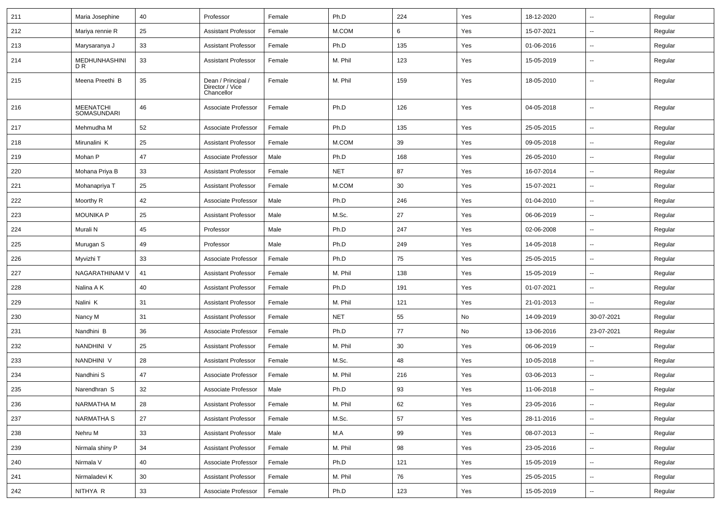| 211 | Maria Josephine                        | 40 | Professor                                           | Female | Ph.D       | 224 | Yes | 18-12-2020 | $\overline{\phantom{a}}$ | Regular |
|-----|----------------------------------------|----|-----------------------------------------------------|--------|------------|-----|-----|------------|--------------------------|---------|
| 212 | Mariya rennie R                        | 25 | <b>Assistant Professor</b>                          | Female | M.COM      | 6   | Yes | 15-07-2021 | -−                       | Regular |
| 213 | Marysaranya J                          | 33 | <b>Assistant Professor</b>                          | Female | Ph.D       | 135 | Yes | 01-06-2016 | $\overline{\phantom{a}}$ | Regular |
| 214 | MEDHUNHASHINI<br>D <sub>R</sub>        | 33 | <b>Assistant Professor</b>                          | Female | M. Phil    | 123 | Yes | 15-05-2019 | --                       | Regular |
| 215 | Meena Preethi B                        | 35 | Dean / Principal /<br>Director / Vice<br>Chancellor | Female | M. Phil    | 159 | Yes | 18-05-2010 | $\overline{\phantom{a}}$ | Regular |
| 216 | <b>MEENATCHI</b><br><b>SOMASUNDARI</b> | 46 | Associate Professor                                 | Female | Ph.D       | 126 | Yes | 04-05-2018 | $\overline{\phantom{a}}$ | Regular |
| 217 | Mehmudha M                             | 52 | Associate Professor                                 | Female | Ph.D       | 135 | Yes | 25-05-2015 | $\overline{\phantom{a}}$ | Regular |
| 218 | Mirunalini K                           | 25 | <b>Assistant Professor</b>                          | Female | M.COM      | 39  | Yes | 09-05-2018 | $\overline{\phantom{a}}$ | Regular |
| 219 | Mohan P                                | 47 | Associate Professor                                 | Male   | Ph.D       | 168 | Yes | 26-05-2010 | --                       | Regular |
| 220 | Mohana Priya B                         | 33 | <b>Assistant Professor</b>                          | Female | <b>NET</b> | 87  | Yes | 16-07-2014 | $\overline{\phantom{a}}$ | Regular |
| 221 | Mohanapriya T                          | 25 | <b>Assistant Professor</b>                          | Female | M.COM      | 30  | Yes | 15-07-2021 | $\overline{\phantom{a}}$ | Regular |
| 222 | Moorthy R                              | 42 | Associate Professor                                 | Male   | Ph.D       | 246 | Yes | 01-04-2010 | $\overline{\phantom{a}}$ | Regular |
| 223 | <b>MOUNIKA P</b>                       | 25 | <b>Assistant Professor</b>                          | Male   | M.Sc.      | 27  | Yes | 06-06-2019 | $\overline{\phantom{a}}$ | Regular |
| 224 | Murali N                               | 45 | Professor                                           | Male   | Ph.D       | 247 | Yes | 02-06-2008 | $\overline{\phantom{a}}$ | Regular |
| 225 | Murugan S                              | 49 | Professor                                           | Male   | Ph.D       | 249 | Yes | 14-05-2018 | --                       | Regular |
| 226 | Myvizhi T                              | 33 | Associate Professor                                 | Female | Ph.D       | 75  | Yes | 25-05-2015 | $\overline{\phantom{a}}$ | Regular |
| 227 | NAGARATHINAM V                         | 41 | <b>Assistant Professor</b>                          | Female | M. Phil    | 138 | Yes | 15-05-2019 | $\overline{\phantom{a}}$ | Regular |
| 228 | Nalina A K                             | 40 | <b>Assistant Professor</b>                          | Female | Ph.D       | 191 | Yes | 01-07-2021 | ⊷.                       | Regular |
| 229 | Nalini K                               | 31 | <b>Assistant Professor</b>                          | Female | M. Phil    | 121 | Yes | 21-01-2013 | $\overline{\phantom{a}}$ | Regular |
| 230 | Nancy M                                | 31 | <b>Assistant Professor</b>                          | Female | <b>NET</b> | 55  | No  | 14-09-2019 | 30-07-2021               | Regular |
| 231 | Nandhini B                             | 36 | Associate Professor                                 | Female | Ph.D       | 77  | No  | 13-06-2016 | 23-07-2021               | Regular |
| 232 | NANDHINI V                             | 25 | <b>Assistant Professor</b>                          | Female | M. Phil    | 30  | Yes | 06-06-2019 | $\overline{a}$           | Regular |
| 233 | NANDHINI V                             | 28 | <b>Assistant Professor</b>                          | Female | M.Sc.      | 48  | Yes | 10-05-2018 | ⊷.                       | Regular |
| 234 | Nandhini S                             | 47 | Associate Professor                                 | Female | M. Phil    | 216 | Yes | 03-06-2013 | -−                       | Regular |
| 235 | Narendhran S                           | 32 | Associate Professor                                 | Male   | Ph.D       | 93  | Yes | 11-06-2018 | $\sim$                   | Regular |
| 236 | <b>NARMATHA M</b>                      | 28 | <b>Assistant Professor</b>                          | Female | M. Phil    | 62  | Yes | 23-05-2016 | $\overline{\phantom{a}}$ | Regular |
| 237 | <b>NARMATHA S</b>                      | 27 | <b>Assistant Professor</b>                          | Female | M.Sc.      | 57  | Yes | 28-11-2016 | Ξ.                       | Regular |
| 238 | Nehru M                                | 33 | <b>Assistant Professor</b>                          | Male   | M.A        | 99  | Yes | 08-07-2013 | $\overline{\phantom{a}}$ | Regular |
| 239 | Nirmala shiny P                        | 34 | <b>Assistant Professor</b>                          | Female | M. Phil    | 98  | Yes | 23-05-2016 | $\overline{\phantom{a}}$ | Regular |
| 240 | Nirmala V                              | 40 | Associate Professor                                 | Female | Ph.D       | 121 | Yes | 15-05-2019 | н.                       | Regular |
| 241 | Nirmaladevi K                          | 30 | <b>Assistant Professor</b>                          | Female | M. Phil    | 76  | Yes | 25-05-2015 | $\sim$                   | Regular |
| 242 | NITHYA R                               | 33 | Associate Professor                                 | Female | Ph.D       | 123 | Yes | 15-05-2019 | н.                       | Regular |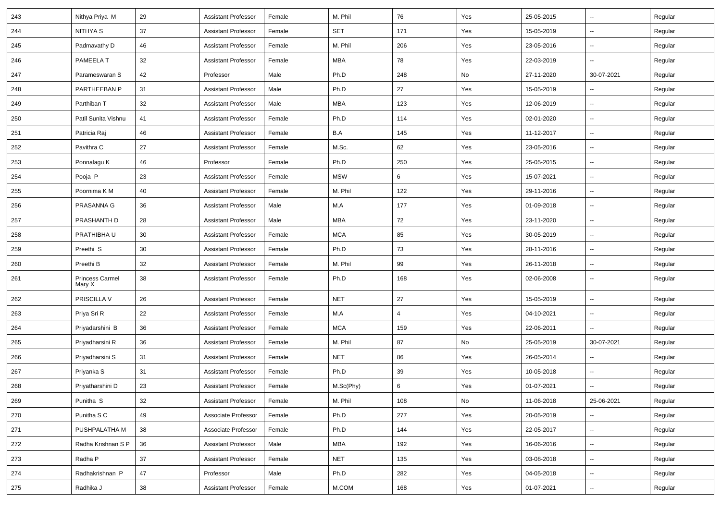| 243 | Nithya Priya M            | 29 | <b>Assistant Professor</b> | Female | M. Phil    | 76  | Yes | 25-05-2015 | $\overline{\phantom{a}}$ | Regular |
|-----|---------------------------|----|----------------------------|--------|------------|-----|-----|------------|--------------------------|---------|
| 244 | NITHYA S                  | 37 | <b>Assistant Professor</b> | Female | SET        | 171 | Yes | 15-05-2019 | Ξ.                       | Regular |
| 245 | Padmavathy D              | 46 | <b>Assistant Professor</b> | Female | M. Phil    | 206 | Yes | 23-05-2016 | --                       | Regular |
| 246 | PAMEELA T                 | 32 | <b>Assistant Professor</b> | Female | <b>MBA</b> | 78  | Yes | 22-03-2019 | -−                       | Regular |
| 247 | Parameswaran S            | 42 | Professor                  | Male   | Ph.D       | 248 | No  | 27-11-2020 | 30-07-2021               | Regular |
| 248 | PARTHEEBAN P              | 31 | <b>Assistant Professor</b> | Male   | Ph.D       | 27  | Yes | 15-05-2019 |                          | Regular |
| 249 | Parthiban T               | 32 | <b>Assistant Professor</b> | Male   | <b>MBA</b> | 123 | Yes | 12-06-2019 | $\sim$                   | Regular |
| 250 | Patil Sunita Vishnu       | 41 | <b>Assistant Professor</b> | Female | Ph.D       | 114 | Yes | 02-01-2020 | Ξ.                       | Regular |
| 251 | Patricia Raj              | 46 | <b>Assistant Professor</b> | Female | B.A        | 145 | Yes | 11-12-2017 | $\overline{\phantom{a}}$ | Regular |
| 252 | Pavithra C                | 27 | <b>Assistant Professor</b> | Female | M.Sc.      | 62  | Yes | 23-05-2016 | $\overline{\phantom{a}}$ | Regular |
| 253 | Ponnalagu K               | 46 | Professor                  | Female | Ph.D       | 250 | Yes | 25-05-2015 | $\overline{\phantom{a}}$ | Regular |
| 254 | Pooja P                   | 23 | <b>Assistant Professor</b> | Female | <b>MSW</b> | 6   | Yes | 15-07-2021 | $\overline{\phantom{a}}$ | Regular |
| 255 | Poornima K M              | 40 | <b>Assistant Professor</b> | Female | M. Phil    | 122 | Yes | 29-11-2016 | Ξ.                       | Regular |
| 256 | PRASANNA G                | 36 | <b>Assistant Professor</b> | Male   | M.A        | 177 | Yes | 01-09-2018 | $\sim$                   | Regular |
| 257 | PRASHANTH D               | 28 | <b>Assistant Professor</b> | Male   | <b>MBA</b> | 72  | Yes | 23-11-2020 | $\overline{\phantom{a}}$ | Regular |
| 258 | PRATHIBHA U               | 30 | <b>Assistant Professor</b> | Female | <b>MCA</b> | 85  | Yes | 30-05-2019 | $\overline{\phantom{a}}$ | Regular |
| 259 | Preethi S                 | 30 | <b>Assistant Professor</b> | Female | Ph.D       | 73  | Yes | 28-11-2016 | $\overline{\phantom{a}}$ | Regular |
| 260 | Preethi B                 | 32 | <b>Assistant Professor</b> | Female | M. Phil    | 99  | Yes | 26-11-2018 | $\overline{\phantom{a}}$ | Regular |
| 261 | Princess Carmel<br>Mary X | 38 | <b>Assistant Professor</b> | Female | Ph.D       | 168 | Yes | 02-06-2008 | $\overline{\phantom{a}}$ | Regular |
| 262 | PRISCILLA V               | 26 | <b>Assistant Professor</b> | Female | <b>NET</b> | 27  | Yes | 15-05-2019 | Ξ.                       | Regular |
| 263 | Priya Sri R               | 22 | <b>Assistant Professor</b> | Female | M.A        | 4   | Yes | 04-10-2021 | $\overline{\phantom{a}}$ | Regular |
| 264 | Priyadarshini B           | 36 | <b>Assistant Professor</b> | Female | <b>MCA</b> | 159 | Yes | 22-06-2011 | $\overline{\phantom{a}}$ | Regular |
| 265 | Priyadharsini R           | 36 | <b>Assistant Professor</b> | Female | M. Phil    | 87  | No  | 25-05-2019 | 30-07-2021               | Regular |
| 266 | Priyadharsini S           | 31 | <b>Assistant Professor</b> | Female | <b>NET</b> | 86  | Yes | 26-05-2014 | $\overline{\phantom{a}}$ | Regular |
| 267 | Priyanka S                | 31 | <b>Assistant Professor</b> | Female | Ph.D       | 39  | Yes | 10-05-2018 | --                       | Regular |
| 268 | Priyatharshini D          | 23 | <b>Assistant Professor</b> | Female | M.Sc(Phy)  | 6   | Yes | 01-07-2021 | Ξ.                       | Regular |
| 269 | Punitha <sub>S</sub>      | 32 | <b>Assistant Professor</b> | Female | M. Phil    | 108 | No  | 11-06-2018 | 25-06-2021               | Regular |
| 270 | Punitha S C               | 49 | Associate Professor        | Female | Ph.D       | 277 | Yes | 20-05-2019 | $\overline{\phantom{a}}$ | Regular |
| 271 | PUSHPALATHA M             | 38 | Associate Professor        | Female | Ph.D       | 144 | Yes | 22-05-2017 | $\sim$                   | Regular |
| 272 | Radha Krishnan S P        | 36 | <b>Assistant Professor</b> | Male   | MBA        | 192 | Yes | 16-06-2016 | $\sim$                   | Regular |
| 273 | Radha P                   | 37 | <b>Assistant Professor</b> | Female | <b>NET</b> | 135 | Yes | 03-08-2018 | $\sim$                   | Regular |
| 274 | Radhakrishnan P           | 47 | Professor                  | Male   | Ph.D       | 282 | Yes | 04-05-2018 | Ξ.                       | Regular |
| 275 | Radhika J                 | 38 | <b>Assistant Professor</b> | Female | M.COM      | 168 | Yes | 01-07-2021 | $\sim$                   | Regular |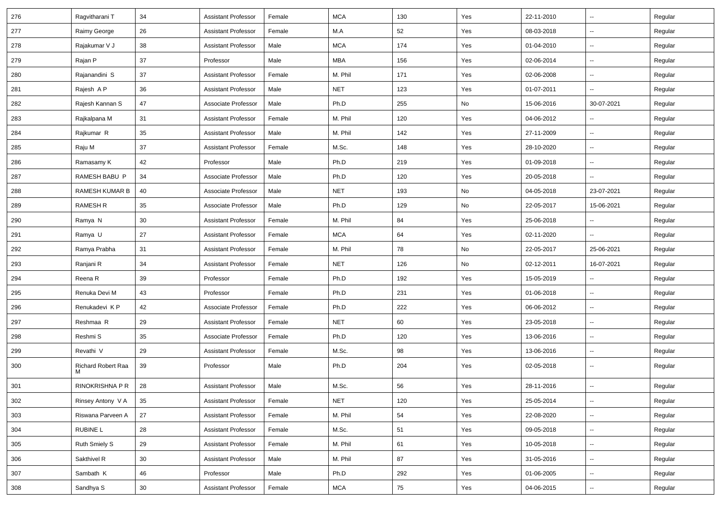| 276 | Ragvitharani T          | 34 | <b>Assistant Professor</b> | Female | <b>MCA</b> | 130 | Yes | 22-11-2010 | $\overline{\phantom{a}}$ | Regular |
|-----|-------------------------|----|----------------------------|--------|------------|-----|-----|------------|--------------------------|---------|
| 277 | Raimy George            | 26 | <b>Assistant Professor</b> | Female | M.A        | 52  | Yes | 08-03-2018 | Ξ.                       | Regular |
| 278 | Rajakumar V J           | 38 | <b>Assistant Professor</b> | Male   | <b>MCA</b> | 174 | Yes | 01-04-2010 | --                       | Regular |
| 279 | Rajan P                 | 37 | Professor                  | Male   | <b>MBA</b> | 156 | Yes | 02-06-2014 | $\overline{\phantom{a}}$ | Regular |
| 280 | Rajanandini S           | 37 | <b>Assistant Professor</b> | Female | M. Phil    | 171 | Yes | 02-06-2008 | $\overline{\phantom{a}}$ | Regular |
| 281 | Rajesh A P              | 36 | <b>Assistant Professor</b> | Male   | <b>NET</b> | 123 | Yes | 01-07-2011 | $\overline{\phantom{a}}$ | Regular |
| 282 | Rajesh Kannan S         | 47 | Associate Professor        | Male   | Ph.D       | 255 | No  | 15-06-2016 | 30-07-2021               | Regular |
| 283 | Rajkalpana M            | 31 | <b>Assistant Professor</b> | Female | M. Phil    | 120 | Yes | 04-06-2012 | $\overline{\phantom{a}}$ | Regular |
| 284 | Rajkumar R              | 35 | <b>Assistant Professor</b> | Male   | M. Phil    | 142 | Yes | 27-11-2009 | Щ,                       | Regular |
| 285 | Raju M                  | 37 | <b>Assistant Professor</b> | Female | M.Sc.      | 148 | Yes | 28-10-2020 | $\overline{\phantom{a}}$ | Regular |
| 286 | Ramasamy K              | 42 | Professor                  | Male   | Ph.D       | 219 | Yes | 01-09-2018 | $\overline{\phantom{a}}$ | Regular |
| 287 | RAMESH BABU P           | 34 | Associate Professor        | Male   | Ph.D       | 120 | Yes | 20-05-2018 | Ξ.                       | Regular |
| 288 | RAMESH KUMAR B          | 40 | Associate Professor        | Male   | <b>NET</b> | 193 | No  | 04-05-2018 | 23-07-2021               | Regular |
| 289 | RAMESH R                | 35 | Associate Professor        | Male   | Ph.D       | 129 | No  | 22-05-2017 | 15-06-2021               | Regular |
| 290 | Ramya N                 | 30 | <b>Assistant Professor</b> | Female | M. Phil    | 84  | Yes | 25-06-2018 | $\overline{\phantom{a}}$ | Regular |
| 291 | Ramya U                 | 27 | <b>Assistant Professor</b> | Female | <b>MCA</b> | 64  | Yes | 02-11-2020 | Щ,                       | Regular |
| 292 | Ramya Prabha            | 31 | <b>Assistant Professor</b> | Female | M. Phil    | 78  | No  | 22-05-2017 | 25-06-2021               | Regular |
| 293 | Ranjani R               | 34 | <b>Assistant Professor</b> | Female | <b>NET</b> | 126 | No  | 02-12-2011 | 16-07-2021               | Regular |
| 294 | Reena R                 | 39 | Professor                  | Female | Ph.D       | 192 | Yes | 15-05-2019 | ÷.                       | Regular |
| 295 | Renuka Devi M           | 43 | Professor                  | Female | Ph.D       | 231 | Yes | 01-06-2018 | $\sim$                   | Regular |
| 296 | Renukadevi KP           | 42 | Associate Professor        | Female | Ph.D       | 222 | Yes | 06-06-2012 | --                       | Regular |
| 297 | Reshmaa R               | 29 | <b>Assistant Professor</b> | Female | <b>NET</b> | 60  | Yes | 23-05-2018 | $\overline{\phantom{a}}$ | Regular |
| 298 | Reshmi S                | 35 | Associate Professor        | Female | Ph.D       | 120 | Yes | 13-06-2016 | $\overline{\phantom{a}}$ | Regular |
| 299 | Revathi V               | 29 | <b>Assistant Professor</b> | Female | M.Sc.      | 98  | Yes | 13-06-2016 | $\overline{\phantom{a}}$ | Regular |
| 300 | Richard Robert Raa<br>м | 39 | Professor                  | Male   | Ph.D       | 204 | Yes | 02-05-2018 | $\overline{\phantom{a}}$ | Regular |
| 301 | RINOKRISHNA P R         | 28 | <b>Assistant Professor</b> | Male   | M.Sc.      | 56  | Yes | 28-11-2016 | ÷.                       | Regular |
| 302 | Rinsey Antony V A       | 35 | <b>Assistant Professor</b> | Female | <b>NET</b> | 120 | Yes | 25-05-2014 | $\sim$                   | Regular |
| 303 | Riswana Parveen A       | 27 | <b>Assistant Professor</b> | Female | M. Phil    | 54  | Yes | 22-08-2020 | $\overline{\phantom{a}}$ | Regular |
| 304 | RUBINE L                | 28 | <b>Assistant Professor</b> | Female | M.Sc.      | 51  | Yes | 09-05-2018 | Щ,                       | Regular |
| 305 | Ruth Smiely S           | 29 | <b>Assistant Professor</b> | Female | M. Phil    | 61  | Yes | 10-05-2018 | $\sim$                   | Regular |
| 306 | Sakthivel R             | 30 | <b>Assistant Professor</b> | Male   | M. Phil    | 87  | Yes | 31-05-2016 | $\sim$                   | Regular |
| 307 | Sambath K               | 46 | Professor                  | Male   | Ph.D       | 292 | Yes | 01-06-2005 | Ξ.                       | Regular |
| 308 | Sandhya S               | 30 | <b>Assistant Professor</b> | Female | <b>MCA</b> | 75  | Yes | 04-06-2015 | $\sim$                   | Regular |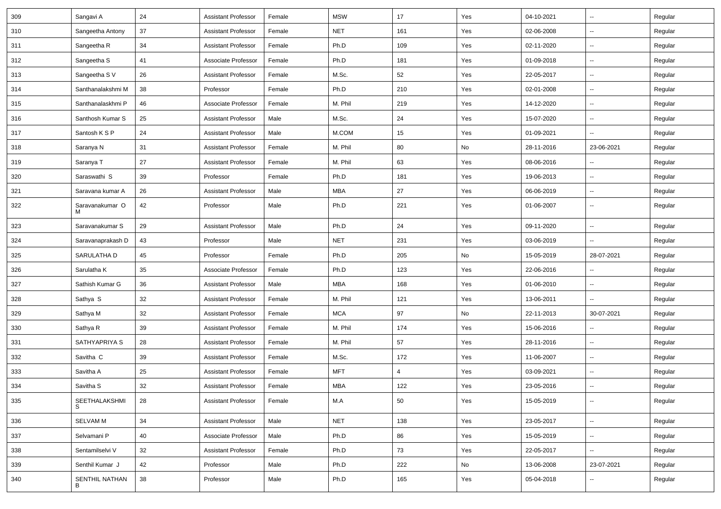| 309 | Sangavi A            | 24 | <b>Assistant Professor</b> | Female | <b>MSW</b> | 17  | Yes | 04-10-2021 | $\overline{\phantom{a}}$ | Regular |
|-----|----------------------|----|----------------------------|--------|------------|-----|-----|------------|--------------------------|---------|
| 310 | Sangeetha Antony     | 37 | <b>Assistant Professor</b> | Female | <b>NET</b> | 161 | Yes | 02-06-2008 | -−                       | Regular |
| 311 | Sangeetha R          | 34 | <b>Assistant Professor</b> | Female | Ph.D       | 109 | Yes | 02-11-2020 | $\overline{\phantom{a}}$ | Regular |
| 312 | Sangeetha S          | 41 | Associate Professor        | Female | Ph.D       | 181 | Yes | 01-09-2018 | $\overline{\phantom{a}}$ | Regular |
| 313 | Sangeetha S V        | 26 | <b>Assistant Professor</b> | Female | M.Sc.      | 52  | Yes | 22-05-2017 | $\overline{\phantom{a}}$ | Regular |
| 314 | Santhanalakshmi M    | 38 | Professor                  | Female | Ph.D       | 210 | Yes | 02-01-2008 | Ξ.                       | Regular |
| 315 | Santhanalaskhmi P    | 46 | Associate Professor        | Female | M. Phil    | 219 | Yes | 14-12-2020 | $\sim$                   | Regular |
| 316 | Santhosh Kumar S     | 25 | <b>Assistant Professor</b> | Male   | M.Sc.      | 24  | Yes | 15-07-2020 | $\overline{\phantom{a}}$ | Regular |
| 317 | Santosh K S P        | 24 | <b>Assistant Professor</b> | Male   | M.COM      | 15  | Yes | 01-09-2021 | $\overline{\phantom{a}}$ | Regular |
| 318 | Saranya N            | 31 | <b>Assistant Professor</b> | Female | M. Phil    | 80  | No  | 28-11-2016 | 23-06-2021               | Regular |
| 319 | Saranya T            | 27 | <b>Assistant Professor</b> | Female | M. Phil    | 63  | Yes | 08-06-2016 | --                       | Regular |
| 320 | Saraswathi S         | 39 | Professor                  | Female | Ph.D       | 181 | Yes | 19-06-2013 | Ξ.                       | Regular |
| 321 | Saravana kumar A     | 26 | <b>Assistant Professor</b> | Male   | MBA        | 27  | Yes | 06-06-2019 | Ξ.                       | Regular |
| 322 | Saravanakumar O<br>м | 42 | Professor                  | Male   | Ph.D       | 221 | Yes | 01-06-2007 | $\overline{\phantom{a}}$ | Regular |
| 323 | Saravanakumar S      | 29 | <b>Assistant Professor</b> | Male   | Ph.D       | 24  | Yes | 09-11-2020 | Щ,                       | Regular |
| 324 | Saravanaprakash D    | 43 | Professor                  | Male   | <b>NET</b> | 231 | Yes | 03-06-2019 | $\overline{\phantom{a}}$ | Regular |
| 325 | SARULATHA D          | 45 | Professor                  | Female | Ph.D       | 205 | No  | 15-05-2019 | 28-07-2021               | Regular |
| 326 | Sarulatha K          | 35 | Associate Professor        | Female | Ph.D       | 123 | Yes | 22-06-2016 |                          | Regular |
| 327 | Sathish Kumar G      | 36 | <b>Assistant Professor</b> | Male   | <b>MBA</b> | 168 | Yes | 01-06-2010 | Щ,                       | Regular |
| 328 | Sathya S             | 32 | <b>Assistant Professor</b> | Female | M. Phil    | 121 | Yes | 13-06-2011 | $\overline{\phantom{a}}$ | Regular |
| 329 | Sathya M             | 32 | <b>Assistant Professor</b> | Female | <b>MCA</b> | 97  | No  | 22-11-2013 | 30-07-2021               | Regular |
| 330 | Sathya R             | 39 | <b>Assistant Professor</b> | Female | M. Phil    | 174 | Yes | 15-06-2016 | Ξ.                       | Regular |
| 331 | SATHYAPRIYA S        | 28 | <b>Assistant Professor</b> | Female | M. Phil    | 57  | Yes | 28-11-2016 | $\overline{\phantom{a}}$ | Regular |
| 332 | Savitha C            | 39 | <b>Assistant Professor</b> | Female | M.Sc.      | 172 | Yes | 11-06-2007 | --                       | Regular |
| 333 | Savitha A            | 25 | <b>Assistant Professor</b> | Female | <b>MFT</b> | 4   | Yes | 03-09-2021 | Щ,                       | Regular |
| 334 | Savitha S            | 32 | <b>Assistant Professor</b> | Female | <b>MBA</b> | 122 | Yes | 23-05-2016 | Ξ.                       | Regular |
| 335 | SEETHALAKSHMI<br>S   | 28 | <b>Assistant Professor</b> | Female | M.A        | 50  | Yes | 15-05-2019 | $\overline{\phantom{a}}$ | Regular |
| 336 | <b>SELVAM M</b>      | 34 | <b>Assistant Professor</b> | Male   | <b>NET</b> | 138 | Yes | 23-05-2017 | $\sim$                   | Regular |
| 337 | Selvamani P          | 40 | Associate Professor        | Male   | Ph.D       | 86  | Yes | 15-05-2019 | $\sim$                   | Regular |
| 338 | Sentamilselvi V      | 32 | <b>Assistant Professor</b> | Female | Ph.D       | 73  | Yes | 22-05-2017 | $\sim$                   | Regular |
| 339 | Senthil Kumar J      | 42 | Professor                  | Male   | Ph.D       | 222 | No  | 13-06-2008 | 23-07-2021               | Regular |
| 340 | SENTHIL NATHAN<br>B  | 38 | Professor                  | Male   | Ph.D       | 165 | Yes | 05-04-2018 | -−                       | Regular |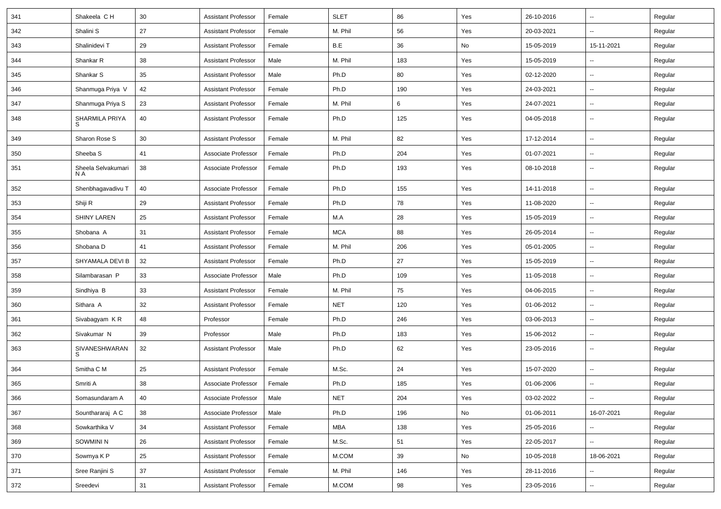| 341 | Shakeela C H              | 30 | <b>Assistant Professor</b> | Female | <b>SLET</b> | 86  | Yes | 26-10-2016 | $\overline{\phantom{a}}$ | Regular |
|-----|---------------------------|----|----------------------------|--------|-------------|-----|-----|------------|--------------------------|---------|
| 342 | Shalini S                 | 27 | <b>Assistant Professor</b> | Female | M. Phil     | 56  | Yes | 20-03-2021 | $\sim$                   | Regular |
| 343 | Shalinidevi T             | 29 | <b>Assistant Professor</b> | Female | B.E         | 36  | No  | 15-05-2019 | 15-11-2021               | Regular |
| 344 | Shankar R                 | 38 | <b>Assistant Professor</b> | Male   | M. Phil     | 183 | Yes | 15-05-2019 |                          | Regular |
| 345 | Shankar S                 | 35 | Assistant Professor        | Male   | Ph.D        | 80  | Yes | 02-12-2020 |                          | Regular |
| 346 | Shanmuga Priya V          | 42 | <b>Assistant Professor</b> | Female | Ph.D        | 190 | Yes | 24-03-2021 | $\ddotsc$                | Regular |
| 347 | Shanmuga Priya S          | 23 | <b>Assistant Professor</b> | Female | M. Phil     | 6   | Yes | 24-07-2021 | $\sim$                   | Regular |
| 348 | SHARMILA PRIYA            | 40 | <b>Assistant Professor</b> | Female | Ph.D        | 125 | Yes | 04-05-2018 | $\sim$                   | Regular |
| 349 | Sharon Rose S             | 30 | <b>Assistant Professor</b> | Female | M. Phil     | 82  | Yes | 17-12-2014 | ⊷.                       | Regular |
| 350 | Sheeba <sub>S</sub>       | 41 | Associate Professor        | Female | Ph.D        | 204 | Yes | 01-07-2021 | $\sim$                   | Regular |
| 351 | Sheela Selvakumari<br>N A | 38 | Associate Professor        | Female | Ph.D        | 193 | Yes | 08-10-2018 | --                       | Regular |
| 352 | Shenbhagavadivu T         | 40 | Associate Professor        | Female | Ph.D        | 155 | Yes | 14-11-2018 |                          | Regular |
| 353 | Shiji R                   | 29 | <b>Assistant Professor</b> | Female | Ph.D        | 78  | Yes | 11-08-2020 | $\overline{\phantom{a}}$ | Regular |
| 354 | <b>SHINY LAREN</b>        | 25 | <b>Assistant Professor</b> | Female | M.A         | 28  | Yes | 15-05-2019 | $\sim$                   | Regular |
| 355 | Shobana A                 | 31 | <b>Assistant Professor</b> | Female | <b>MCA</b>  | 88  | Yes | 26-05-2014 | $\overline{\phantom{a}}$ | Regular |
| 356 | Shobana D                 | 41 | <b>Assistant Professor</b> | Female | M. Phil     | 206 | Yes | 05-01-2005 | $\sim$                   | Regular |
| 357 | SHYAMALA DEVI B           | 32 | <b>Assistant Professor</b> | Female | Ph.D        | 27  | Yes | 15-05-2019 | $\overline{\phantom{a}}$ | Regular |
| 358 | Silambarasan P            | 33 | Associate Professor        | Male   | Ph.D        | 109 | Yes | 11-05-2018 | $\overline{\phantom{a}}$ | Regular |
| 359 | Sindhiya B                | 33 | <b>Assistant Professor</b> | Female | M. Phil     | 75  | Yes | 04-06-2015 | $\overline{\phantom{a}}$ | Regular |
| 360 | Sithara A                 | 32 | <b>Assistant Professor</b> | Female | <b>NET</b>  | 120 | Yes | 01-06-2012 | $\overline{a}$           | Regular |
| 361 | Sivabagyam KR             | 48 | Professor                  | Female | Ph.D        | 246 | Yes | 03-06-2013 | $\sim$                   | Regular |
| 362 | Sivakumar N               | 39 | Professor                  | Male   | Ph.D        | 183 | Yes | 15-06-2012 | ⊷.                       | Regular |
| 363 | SIVANESHWARAN<br>S        | 32 | <b>Assistant Professor</b> | Male   | Ph.D        | 62  | Yes | 23-05-2016 | --                       | Regular |
| 364 | Smitha C M                | 25 | <b>Assistant Professor</b> | Female | M.Sc.       | 24  | Yes | 15-07-2020 | Щ,                       | Regular |
| 365 | Smriti A                  | 38 | Associate Professor        | Female | Ph.D        | 185 | Yes | 01-06-2006 |                          | Regular |
| 366 | Somasundaram A            | 40 | Associate Professor        | Male   | <b>NET</b>  | 204 | Yes | 03-02-2022 | $\overline{\phantom{a}}$ | Regular |
| 367 | Sounthararaj A C          | 38 | Associate Professor        | Male   | Ph.D        | 196 | No  | 01-06-2011 | 16-07-2021               | Regular |
| 368 | Sowkarthika V             | 34 | <b>Assistant Professor</b> | Female | MBA         | 138 | Yes | 25-05-2016 | $\overline{\phantom{a}}$ | Regular |
| 369 | SOWMINI N                 | 26 | Assistant Professor        | Female | M.Sc.       | 51  | Yes | 22-05-2017 | $\sim$                   | Regular |
| 370 | Sowmya K P                | 25 | <b>Assistant Professor</b> | Female | M.COM       | 39  | No  | 10-05-2018 | 18-06-2021               | Regular |
| 371 | Sree Ranjini S            | 37 | <b>Assistant Professor</b> | Female | M. Phil     | 146 | Yes | 28-11-2016 |                          | Regular |
| 372 | Sreedevi                  | 31 | <b>Assistant Professor</b> | Female | M.COM       | 98  | Yes | 23-05-2016 | $\sim$                   | Regular |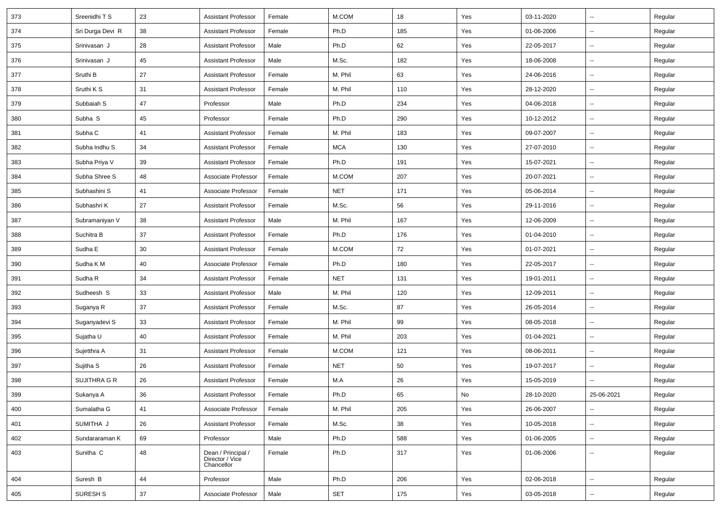| 373 | Sreenidhi T S        | 23 | <b>Assistant Professor</b>                          | Female | M.COM      | 18  | Yes | 03-11-2020 | $\overline{\phantom{a}}$ | Regular |
|-----|----------------------|----|-----------------------------------------------------|--------|------------|-----|-----|------------|--------------------------|---------|
| 374 | Sri Durga Devi R     | 38 | <b>Assistant Professor</b>                          | Female | Ph.D       | 185 | Yes | 01-06-2006 | Ξ.                       | Regular |
| 375 | Srinivasan J         | 28 | <b>Assistant Professor</b>                          | Male   | Ph.D       | 62  | Yes | 22-05-2017 | --                       | Regular |
| 376 | Srinivasan J         | 45 | <b>Assistant Professor</b>                          | Male   | M.Sc.      | 182 | Yes | 18-06-2008 | $\overline{\phantom{a}}$ | Regular |
| 377 | Sruthi B             | 27 | <b>Assistant Professor</b>                          | Female | M. Phil    | 63  | Yes | 24-06-2016 | $\overline{\phantom{a}}$ | Regular |
| 378 | Sruthi K S           | 31 | <b>Assistant Professor</b>                          | Female | M. Phil    | 110 | Yes | 28-12-2020 | $\overline{\phantom{a}}$ | Regular |
| 379 | Subbaiah S           | 47 | Professor                                           | Male   | Ph.D       | 234 | Yes | 04-06-2018 | Щ,                       | Regular |
| 380 | Subha S              | 45 | Professor                                           | Female | Ph.D       | 290 | Yes | 10-12-2012 | Щ,                       | Regular |
| 381 | Subha C              | 41 | <b>Assistant Professor</b>                          | Female | M. Phil    | 183 | Yes | 09-07-2007 | $\overline{\phantom{a}}$ | Regular |
| 382 | Subha Indhu S        | 34 | Assistant Professor                                 | Female | <b>MCA</b> | 130 | Yes | 27-07-2010 | $\overline{\phantom{a}}$ | Regular |
| 383 | Subha Priya V        | 39 | <b>Assistant Professor</b>                          | Female | Ph.D       | 191 | Yes | 15-07-2021 | $\overline{\phantom{a}}$ | Regular |
| 384 | Subha Shree S        | 48 | Associate Professor                                 | Female | M.COM      | 207 | Yes | 20-07-2021 | Ξ.                       | Regular |
| 385 | Subhashini S         | 41 | Associate Professor                                 | Female | <b>NET</b> | 171 | Yes | 05-06-2014 | Ξ.                       | Regular |
| 386 | Subhashri K          | 27 | <b>Assistant Professor</b>                          | Female | M.Sc.      | 56  | Yes | 29-11-2016 | $\sim$                   | Regular |
| 387 | Subramaniyan V       | 38 | <b>Assistant Professor</b>                          | Male   | M. Phil    | 167 | Yes | 12-06-2009 | $\overline{\phantom{a}}$ | Regular |
| 388 | Suchitra B           | 37 | <b>Assistant Professor</b>                          | Female | Ph.D       | 176 | Yes | 01-04-2010 | Щ,                       | Regular |
| 389 | Sudha E              | 30 | <b>Assistant Professor</b>                          | Female | M.COM      | 72  | Yes | 01-07-2021 | $\overline{\phantom{a}}$ | Regular |
| 390 | Sudha K M            | 40 | Associate Professor                                 | Female | Ph.D       | 180 | Yes | 22-05-2017 | $\overline{\phantom{a}}$ | Regular |
| 391 | Sudha R              | 34 | Assistant Professor                                 | Female | <b>NET</b> | 131 | Yes | 19-01-2011 | Ξ.                       | Regular |
| 392 | Sudheesh S           | 33 | <b>Assistant Professor</b>                          | Male   | M. Phil    | 120 | Yes | 12-09-2011 | $\sim$                   | Regular |
| 393 | Suganya R            | 37 | <b>Assistant Professor</b>                          | Female | M.Sc.      | 87  | Yes | 26-05-2014 | $\overline{\phantom{a}}$ | Regular |
| 394 | Suganyadevi S        | 33 | <b>Assistant Professor</b>                          | Female | M. Phil    | 99  | Yes | 08-05-2018 | $\overline{\phantom{a}}$ | Regular |
| 395 | Sujatha U            | 40 | <b>Assistant Professor</b>                          | Female | M. Phil    | 203 | Yes | 01-04-2021 | $\overline{\phantom{a}}$ | Regular |
| 396 | Sujetthra A          | 31 | <b>Assistant Professor</b>                          | Female | M.COM      | 121 | Yes | 08-06-2011 | $\overline{\phantom{a}}$ | Regular |
| 397 | Sujitha <sub>S</sub> | 26 | <b>Assistant Professor</b>                          | Female | <b>NET</b> | 50  | Yes | 19-07-2017 | Ξ.                       | Regular |
| 398 | SUJITHRA G R         | 26 | <b>Assistant Professor</b>                          | Female | M.A        | 26  | Yes | 15-05-2019 | $\sim$                   | Regular |
| 399 | Sukanya A            | 36 | <b>Assistant Professor</b>                          | Female | Ph.D       | 65  | No  | 28-10-2020 | 25-06-2021               | Regular |
| 400 | Sumalatha G          | 41 | Associate Professor                                 | Female | M. Phil    | 205 | Yes | 26-06-2007 | Щ,                       | Regular |
| 401 | SUMITHA J            | 26 | <b>Assistant Professor</b>                          | Female | M.Sc.      | 38  | Yes | 10-05-2018 | Ξ.                       | Regular |
| 402 | Sundararaman K       | 69 | Professor                                           | Male   | Ph.D       | 588 | Yes | 01-06-2005 | Ξ.                       | Regular |
| 403 | Sunitha <sub>C</sub> | 48 | Dean / Principal /<br>Director / Vice<br>Chancellor | Female | Ph.D       | 317 | Yes | 01-06-2006 | Ξ.                       | Regular |
| 404 | Suresh B             | 44 | Professor                                           | Male   | Ph.D       | 206 | Yes | 02-06-2018 | ц.                       | Regular |
| 405 | SURESH <sub>S</sub>  | 37 | Associate Professor                                 | Male   | SET        | 175 | Yes | 03-05-2018 | $\sim$                   | Regular |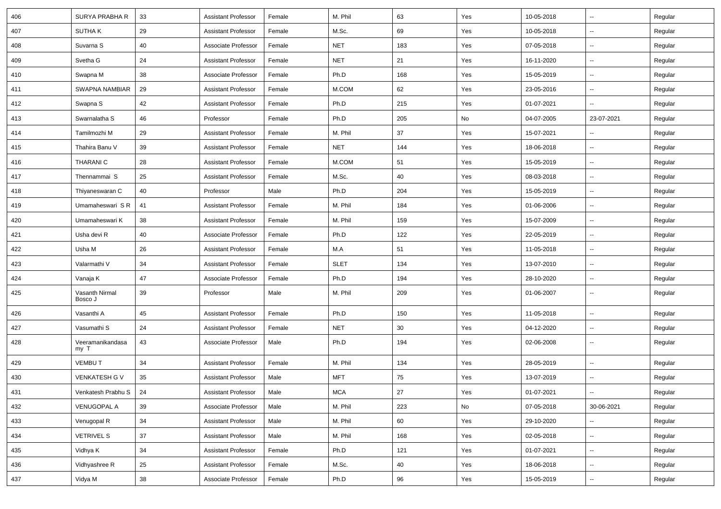| 406 | SURYA PRABHA R            | 33     | <b>Assistant Professor</b> | Female | M. Phil     | 63  | Yes | 10-05-2018 | $\overline{\phantom{a}}$ | Regular |
|-----|---------------------------|--------|----------------------------|--------|-------------|-----|-----|------------|--------------------------|---------|
| 407 | <b>SUTHAK</b>             | 29     | <b>Assistant Professor</b> | Female | M.Sc.       | 69  | Yes | 10-05-2018 | $\overline{\phantom{a}}$ | Regular |
| 408 | Suvarna S                 | 40     | Associate Professor        | Female | <b>NET</b>  | 183 | Yes | 07-05-2018 | $\overline{\phantom{a}}$ | Regular |
| 409 | Svetha G                  | 24     | <b>Assistant Professor</b> | Female | <b>NET</b>  | 21  | Yes | 16-11-2020 | $\overline{\phantom{a}}$ | Regular |
| 410 | Swapna M                  | 38     | Associate Professor        | Female | Ph.D        | 168 | Yes | 15-05-2019 | $\overline{\phantom{a}}$ | Regular |
| 411 | SWAPNA NAMBIAR            | 29     | <b>Assistant Professor</b> | Female | M.COM       | 62  | Yes | 23-05-2016 | Ξ.                       | Regular |
| 412 | Swapna S                  | 42     | <b>Assistant Professor</b> | Female | Ph.D        | 215 | Yes | 01-07-2021 | $\sim$                   | Regular |
| 413 | Swarnalatha S             | 46     | Professor                  | Female | Ph.D        | 205 | No  | 04-07-2005 | 23-07-2021               | Regular |
| 414 | Tamilmozhi M              | 29     | <b>Assistant Professor</b> | Female | M. Phil     | 37  | Yes | 15-07-2021 | $\overline{\phantom{a}}$ | Regular |
| 415 | Thahira Banu V            | 39     | <b>Assistant Professor</b> | Female | <b>NET</b>  | 144 | Yes | 18-06-2018 | $\overline{\phantom{a}}$ | Regular |
| 416 | THARANI C                 | 28     | <b>Assistant Professor</b> | Female | M.COM       | 51  | Yes | 15-05-2019 | $\overline{\phantom{a}}$ | Regular |
| 417 | Thennammai S              | 25     | <b>Assistant Professor</b> | Female | M.Sc.       | 40  | Yes | 08-03-2018 | $\overline{\phantom{a}}$ | Regular |
| 418 | Thiyaneswaran C           | 40     | Professor                  | Male   | Ph.D        | 204 | Yes | 15-05-2019 | $\sim$                   | Regular |
| 419 | Umamaheswari S R          | 41     | <b>Assistant Professor</b> | Female | M. Phil     | 184 | Yes | 01-06-2006 | $\overline{\phantom{a}}$ | Regular |
| 420 | Umamaheswari K            | 38     | <b>Assistant Professor</b> | Female | M. Phil     | 159 | Yes | 15-07-2009 | $\overline{\phantom{a}}$ | Regular |
| 421 | Usha devi R               | 40     | Associate Professor        | Female | Ph.D        | 122 | Yes | 22-05-2019 | $\overline{\phantom{a}}$ | Regular |
| 422 | Usha M                    | 26     | <b>Assistant Professor</b> | Female | M.A         | 51  | Yes | 11-05-2018 | $\overline{\phantom{a}}$ | Regular |
| 423 | Valarmathi V              | 34     | <b>Assistant Professor</b> | Female | <b>SLET</b> | 134 | Yes | 13-07-2010 | $\sim$                   | Regular |
| 424 | Vanaja K                  | 47     | Associate Professor        | Female | Ph.D        | 194 | Yes | 28-10-2020 | $\sim$                   | Regular |
| 425 | Vasanth Nirmal<br>Bosco J | 39     | Professor                  | Male   | M. Phil     | 209 | Yes | 01-06-2007 | $\overline{\phantom{a}}$ | Regular |
| 426 | Vasanthi A                | 45     | <b>Assistant Professor</b> | Female | Ph.D        | 150 | Yes | 11-05-2018 | $\overline{\phantom{a}}$ | Regular |
| 427 | Vasumathi S               | 24     | <b>Assistant Professor</b> | Female | <b>NET</b>  | 30  | Yes | 04-12-2020 | $\sim$                   | Regular |
| 428 | Veeramanikandasa<br>my T  | 43     | Associate Professor        | Male   | Ph.D        | 194 | Yes | 02-06-2008 | $\overline{\phantom{a}}$ | Regular |
| 429 | <b>VEMBUT</b>             | 34     | <b>Assistant Professor</b> | Female | M. Phil     | 134 | Yes | 28-05-2019 | $\overline{\phantom{a}}$ | Regular |
| 430 | <b>VENKATESH G V</b>      | 35     | <b>Assistant Professor</b> | Male   | <b>MFT</b>  | 75  | Yes | 13-07-2019 | $\overline{\phantom{a}}$ | Regular |
| 431 | Venkatesh Prabhu S        | 24     | Assistant Professor        | Male   | <b>MCA</b>  | 27  | Yes | 01-07-2021 |                          | Regular |
| 432 | <b>VENUGOPAL A</b>        | 39     | Associate Professor        | Male   | M. Phil     | 223 | No  | 07-05-2018 | 30-06-2021               | Regular |
| 433 | Venugopal R               | 34     | <b>Assistant Professor</b> | Male   | M. Phil     | 60  | Yes | 29-10-2020 | $\sim$                   | Regular |
| 434 | <b>VETRIVEL S</b>         | 37     | <b>Assistant Professor</b> | Male   | M. Phil     | 168 | Yes | 02-05-2018 | $\sim$                   | Regular |
| 435 | Vidhya K                  | 34     | <b>Assistant Professor</b> | Female | Ph.D        | 121 | Yes | 01-07-2021 | $\sim$                   | Regular |
| 436 | Vidhyashree R             | 25     | <b>Assistant Professor</b> | Female | M.Sc.       | 40  | Yes | 18-06-2018 | ⊷.                       | Regular |
| 437 | Vidya M                   | $38\,$ | Associate Professor        | Female | Ph.D        | 96  | Yes | 15-05-2019 | $\sim$                   | Regular |